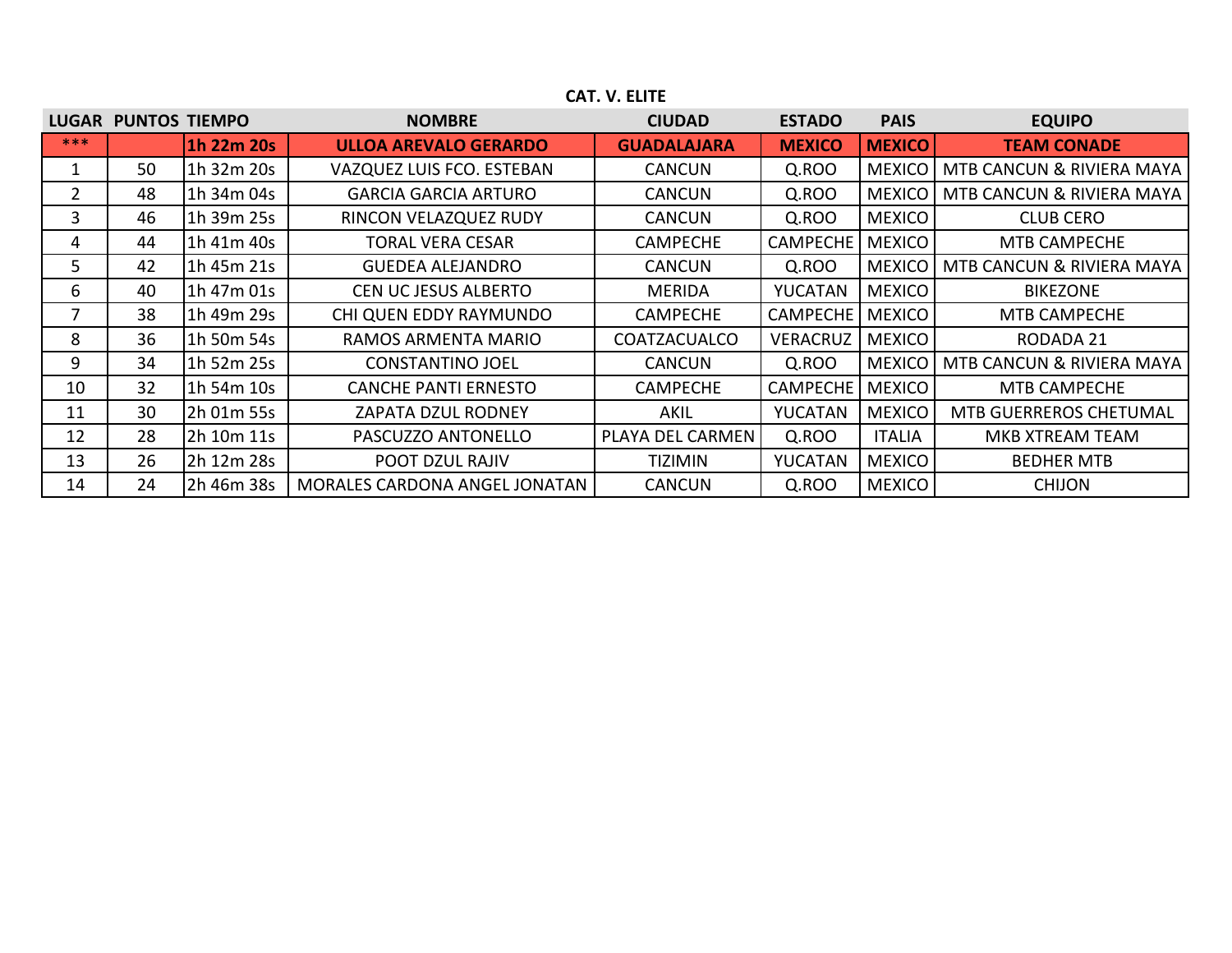| <b>LUGAR</b> | <b>PUNTOS TIEMPO</b> |            | <b>NOMBRE</b>                 | <b>CIUDAD</b>       | <b>ESTADO</b>   | <b>PAIS</b>   | <b>EQUIPO</b>             |
|--------------|----------------------|------------|-------------------------------|---------------------|-----------------|---------------|---------------------------|
| $***$        |                      | 1h 22m 20s | <b>ULLOA AREVALO GERARDO</b>  | <b>GUADALAJARA</b>  | <b>MEXICO</b>   | <b>MEXICO</b> | <b>TEAM CONADE</b>        |
|              | 50                   | 1h 32m 20s | VAZQUEZ LUIS FCO. ESTEBAN     | <b>CANCUN</b>       | Q.ROO           | <b>MEXICO</b> | MTB CANCUN & RIVIERA MAYA |
| 2            | 48                   | 1h 34m 04s | <b>GARCIA GARCIA ARTURO</b>   | <b>CANCUN</b>       | Q.ROO           | <b>MEXICO</b> | MTB CANCUN & RIVIERA MAYA |
| 3            | 46                   | 1h 39m 25s | RINCON VELAZQUEZ RUDY         | <b>CANCUN</b>       | Q.ROO           | <b>MEXICO</b> | <b>CLUB CERO</b>          |
| 4            | 44                   | 1h 41m 40s | <b>TORAL VERA CESAR</b>       | <b>CAMPECHE</b>     | <b>CAMPECHE</b> | <b>MEXICO</b> | MTB CAMPECHE              |
| 5.           | 42                   | 1h 45m 21s | <b>GUEDEA ALEJANDRO</b>       | <b>CANCUN</b>       | Q.ROO           | <b>MEXICO</b> | MTB CANCUN & RIVIERA MAYA |
| 6            | 40                   | 1h 47m 01s | <b>CEN UC JESUS ALBERTO</b>   | <b>MERIDA</b>       | <b>YUCATAN</b>  | <b>MEXICO</b> | <b>BIKEZONE</b>           |
|              | 38                   | 1h 49m 29s | CHI QUEN EDDY RAYMUNDO        | <b>CAMPECHE</b>     | <b>CAMPECHE</b> | <b>MEXICO</b> | MTB CAMPECHE              |
| 8            | 36                   | 1h 50m 54s | RAMOS ARMENTA MARIO           | <b>COATZACUALCO</b> | <b>VERACRUZ</b> | <b>MEXICO</b> | RODADA 21                 |
| 9            | 34                   | 1h 52m 25s | <b>CONSTANTINO JOEL</b>       | <b>CANCUN</b>       | Q.ROO           | <b>MEXICO</b> | MTB CANCUN & RIVIERA MAYA |
| 10           | 32                   | 1h 54m 10s | <b>CANCHE PANTI ERNESTO</b>   | <b>CAMPECHE</b>     | <b>CAMPECHE</b> | <b>MEXICO</b> | MTB CAMPECHE              |
| 11           | 30                   | 2h 01m 55s | ZAPATA DZUL RODNEY            | AKIL                | <b>YUCATAN</b>  | <b>MEXICO</b> | MTB GUERREROS CHETUMAL    |
| 12           | 28                   | 2h 10m 11s | PASCUZZO ANTONELLO            | PLAYA DEL CARMEN    | Q.ROO           | <b>ITALIA</b> | MKB XTREAM TEAM           |
| 13           | 26                   | 2h 12m 28s | POOT DZUL RAJIV               | TIZIMIN             | <b>YUCATAN</b>  | <b>MEXICO</b> | <b>BEDHER MTB</b>         |
| 14           | 24                   | 2h 46m 38s | MORALES CARDONA ANGEL JONATAN | <b>CANCUN</b>       | Q.ROO           | <b>MEXICO</b> | <b>CHIJON</b>             |

## **CAT. V. ELITE**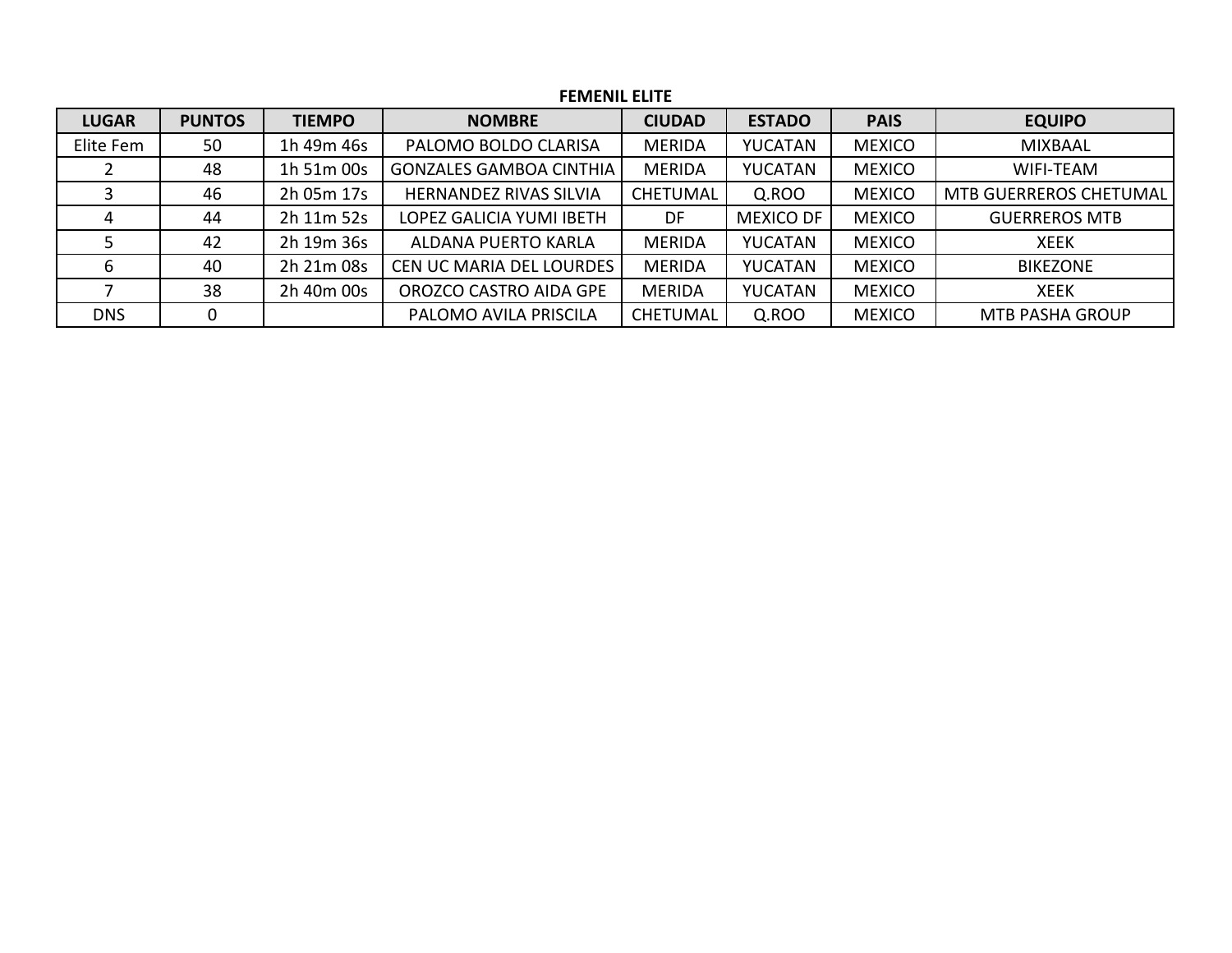| <b>FEMENIL ELITE</b> |               |               |                                 |                 |                  |               |                               |  |  |  |
|----------------------|---------------|---------------|---------------------------------|-----------------|------------------|---------------|-------------------------------|--|--|--|
| <b>LUGAR</b>         | <b>PUNTOS</b> | <b>TIEMPO</b> | <b>NOMBRE</b>                   | <b>CIUDAD</b>   | <b>ESTADO</b>    | <b>PAIS</b>   | <b>EQUIPO</b>                 |  |  |  |
| Elite Fem            | 50            | 1h 49m 46s    | PALOMO BOLDO CLARISA            | <b>MERIDA</b>   | YUCATAN          | <b>MEXICO</b> | <b>MIXBAAL</b>                |  |  |  |
|                      | 48            | 1h 51m 00s    | <b>GONZALES GAMBOA CINTHIA</b>  | <b>MERIDA</b>   | <b>YUCATAN</b>   | <b>MEXICO</b> | <b>WIFI-TEAM</b>              |  |  |  |
|                      | 46            | 2h 05m 17s    | <b>HERNANDEZ RIVAS SILVIA</b>   | <b>CHETUMAL</b> | Q.ROO            | <b>MEXICO</b> | <b>MTB GUERREROS CHETUMAL</b> |  |  |  |
| 4                    | 44            | 2h 11m 52s    | LOPEZ GALICIA YUMI IBETH        | DF              | <b>MEXICO DF</b> | <b>MEXICO</b> | <b>GUERREROS MTB</b>          |  |  |  |
|                      | 42            | 2h 19m 36s    | ALDANA PUERTO KARLA             | <b>MERIDA</b>   | <b>YUCATAN</b>   | <b>MEXICO</b> | <b>XEEK</b>                   |  |  |  |
| 6                    | 40            | 2h 21m 08s    | <b>CEN UC MARIA DEL LOURDES</b> | <b>MERIDA</b>   | <b>YUCATAN</b>   | <b>MEXICO</b> | <b>BIKEZONE</b>               |  |  |  |
|                      | 38            | 2h 40m 00s    | OROZCO CASTRO AIDA GPE          | <b>MERIDA</b>   | <b>YUCATAN</b>   | <b>MEXICO</b> | <b>XEEK</b>                   |  |  |  |
| <b>DNS</b>           | 0             |               | PALOMO AVILA PRISCILA           | <b>CHETUMAL</b> | Q.ROO            | <b>MEXICO</b> | <b>MTB PASHA GROUP</b>        |  |  |  |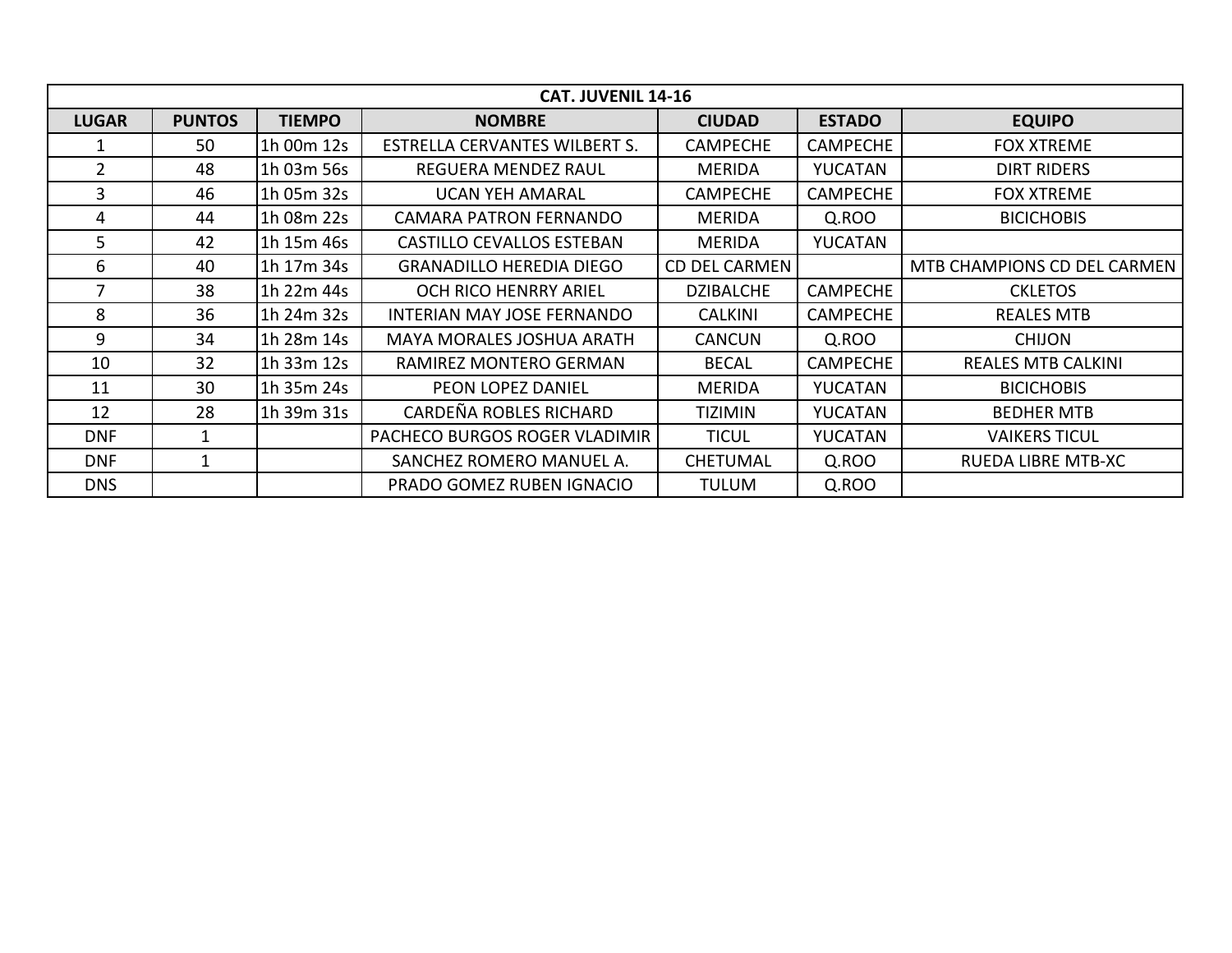|              |               |               | <b>CAT. JUVENIL 14-16</b>        |                      |                 |                             |
|--------------|---------------|---------------|----------------------------------|----------------------|-----------------|-----------------------------|
| <b>LUGAR</b> | <b>PUNTOS</b> | <b>TIEMPO</b> | <b>NOMBRE</b>                    | <b>CIUDAD</b>        | <b>ESTADO</b>   | <b>EQUIPO</b>               |
|              | 50            | 1h 00m 12s    | ESTRELLA CERVANTES WILBERT S.    | <b>CAMPECHE</b>      | <b>CAMPECHE</b> | <b>FOX XTREME</b>           |
| $2^{\circ}$  | 48            | 1h 03m 56s    | <b>REGUERA MENDEZ RAUL</b>       | <b>MERIDA</b>        | YUCATAN         | <b>DIRT RIDERS</b>          |
| 3            | 46            | 1h 05m 32s    | <b>UCAN YEH AMARAL</b>           | <b>CAMPECHE</b>      | <b>CAMPECHE</b> | <b>FOX XTREME</b>           |
| 4            | 44            | 1h 08m 22s    | <b>CAMARA PATRON FERNANDO</b>    | <b>MERIDA</b>        | Q.ROO           | <b>BICICHOBIS</b>           |
| 5.           | 42            | 1h 15m 46s    | CASTILLO CEVALLOS ESTEBAN        | <b>MERIDA</b>        | YUCATAN         |                             |
| 6            | 40            | 1h 17m 34s    | <b>GRANADILLO HEREDIA DIEGO</b>  | <b>CD DEL CARMEN</b> |                 | MTB CHAMPIONS CD DEL CARMEN |
|              | 38            | 1h 22m 44s    | OCH RICO HENRRY ARIEL            | <b>DZIBALCHE</b>     | <b>CAMPECHE</b> | <b>CKLETOS</b>              |
| 8            | 36            | 1h 24m 32s    | INTERIAN MAY JOSE FERNANDO       | <b>CALKINI</b>       | <b>CAMPECHE</b> | <b>REALES MTB</b>           |
| 9            | 34            | 1h 28m 14s    | <b>MAYA MORALES JOSHUA ARATH</b> | <b>CANCUN</b>        | Q.ROO           | <b>CHIJON</b>               |
| 10           | 32            | 1h 33m 12s    | RAMIREZ MONTERO GERMAN           | <b>BECAL</b>         | <b>CAMPECHE</b> | <b>REALES MTB CALKINI</b>   |
| 11           | 30            | 1h 35m 24s    | PEON LOPEZ DANIEL                | <b>MERIDA</b>        | YUCATAN         | <b>BICICHOBIS</b>           |
| 12           | 28            | 1h 39m 31s    | CARDEÑA ROBLES RICHARD           | <b>TIZIMIN</b>       | YUCATAN         | <b>BEDHER MTB</b>           |
| <b>DNF</b>   | 1             |               | PACHECO BURGOS ROGER VLADIMIR    | <b>TICUL</b>         | YUCATAN         | <b>VAIKERS TICUL</b>        |
| <b>DNF</b>   | 1             |               | SANCHEZ ROMERO MANUEL A.         | <b>CHETUMAL</b>      | Q.ROO           | RUEDA LIBRE MTB-XC          |
| <b>DNS</b>   |               |               | PRADO GOMEZ RUBEN IGNACIO        | TULUM                | Q.ROO           |                             |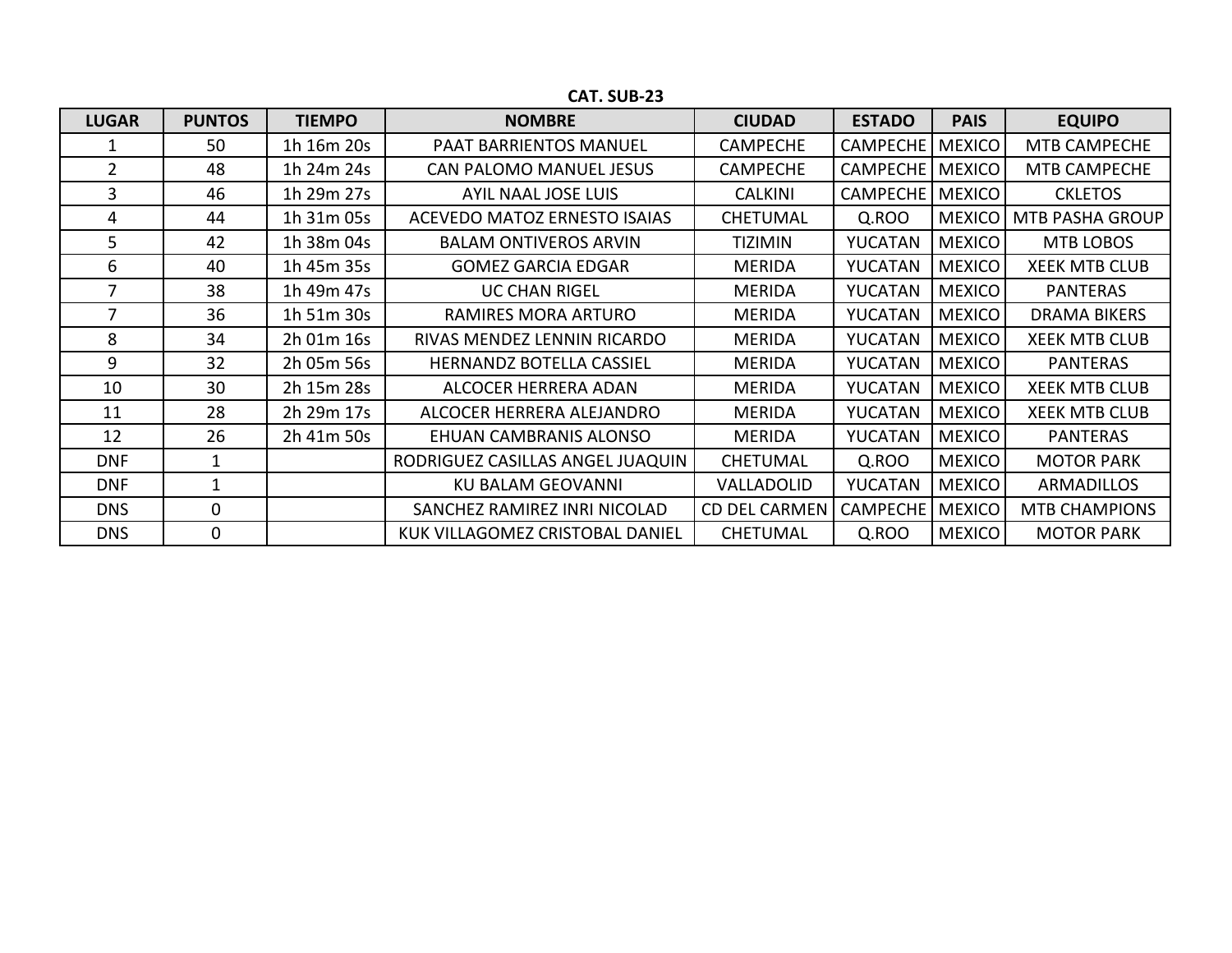| <b>LUGAR</b>   | <b>PUNTOS</b> | <b>TIEMPO</b> | <b>NOMBRE</b>                    | <b>CIUDAD</b>        | <b>ESTADO</b>   | <b>PAIS</b>   | <b>EQUIPO</b>          |
|----------------|---------------|---------------|----------------------------------|----------------------|-----------------|---------------|------------------------|
|                | 50            | 1h 16m 20s    | PAAT BARRIENTOS MANUEL           | <b>CAMPECHE</b>      | <b>CAMPECHE</b> | <b>MEXICO</b> | MTB CAMPECHE           |
| $\overline{2}$ | 48            | 1h 24m 24s    | CAN PALOMO MANUEL JESUS          | <b>CAMPECHE</b>      | <b>CAMPECHE</b> | <b>MEXICO</b> | MTB CAMPECHE           |
| 3              | 46            | 1h 29m 27s    | AYIL NAAL JOSE LUIS              | <b>CALKINI</b>       | <b>CAMPECHE</b> | <b>MEXICO</b> | <b>CKLETOS</b>         |
| 4              | 44            | 1h 31m 05s    | ACEVEDO MATOZ ERNESTO ISAIAS     | <b>CHETUMAL</b>      | Q.ROO           | <b>MEXICO</b> | <b>MTB PASHA GROUP</b> |
| 5.             | 42            | 1h 38m 04s    | <b>BALAM ONTIVEROS ARVIN</b>     | <b>TIZIMIN</b>       | YUCATAN         | <b>MEXICO</b> | MTB LOBOS              |
| 6              | 40            | 1h 45m 35s    | <b>GOMEZ GARCIA EDGAR</b>        | MERIDA               | YUCATAN         | <b>MEXICO</b> | <b>XEEK MTB CLUB</b>   |
|                | 38            | 1h 49m 47s    | <b>UC CHAN RIGEL</b>             | <b>MERIDA</b>        | YUCATAN         | <b>MEXICO</b> | <b>PANTERAS</b>        |
|                | 36            | 1h 51m 30s    | RAMIRES MORA ARTURO              | <b>MERIDA</b>        | YUCATAN         | <b>MEXICO</b> | <b>DRAMA BIKERS</b>    |
| 8              | 34            | 2h 01m 16s    | RIVAS MENDEZ LENNIN RICARDO      | MERIDA               | YUCATAN         | <b>MEXICO</b> | <b>XEEK MTB CLUB</b>   |
| 9              | 32            | 2h 05m 56s    | <b>HERNANDZ BOTELLA CASSIEL</b>  | <b>MERIDA</b>        | YUCATAN         | <b>MEXICO</b> | <b>PANTERAS</b>        |
| 10             | 30            | 2h 15m 28s    | ALCOCER HERRERA ADAN             | <b>MERIDA</b>        | YUCATAN         | <b>MEXICO</b> | <b>XEEK MTB CLUB</b>   |
| 11             | 28            | 2h 29m 17s    | ALCOCER HERRERA ALEJANDRO        | <b>MERIDA</b>        | YUCATAN         | <b>MEXICO</b> | <b>XEEK MTB CLUB</b>   |
| 12             | 26            | 2h 41m 50s    | EHUAN CAMBRANIS ALONSO           | <b>MERIDA</b>        | <b>YUCATAN</b>  | <b>MEXICO</b> | <b>PANTERAS</b>        |
| <b>DNF</b>     |               |               | RODRIGUEZ CASILLAS ANGEL JUAQUIN | <b>CHETUMAL</b>      | Q.ROO           | <b>MEXICO</b> | <b>MOTOR PARK</b>      |
| <b>DNF</b>     |               |               | <b>KU BALAM GEOVANNI</b>         | VALLADOLID           | YUCATAN         | <b>MEXICO</b> | <b>ARMADILLOS</b>      |
| <b>DNS</b>     | $\Omega$      |               | SANCHEZ RAMIREZ INRI NICOLAD     | <b>CD DEL CARMEN</b> | <b>CAMPECHE</b> | <b>MEXICO</b> | <b>MTB CHAMPIONS</b>   |
| <b>DNS</b>     | $\Omega$      |               | KUK VILLAGOMEZ CRISTOBAL DANIEL  | <b>CHETUMAL</b>      | Q.ROO           | <b>MEXICO</b> | <b>MOTOR PARK</b>      |

**CAT. SUB-23**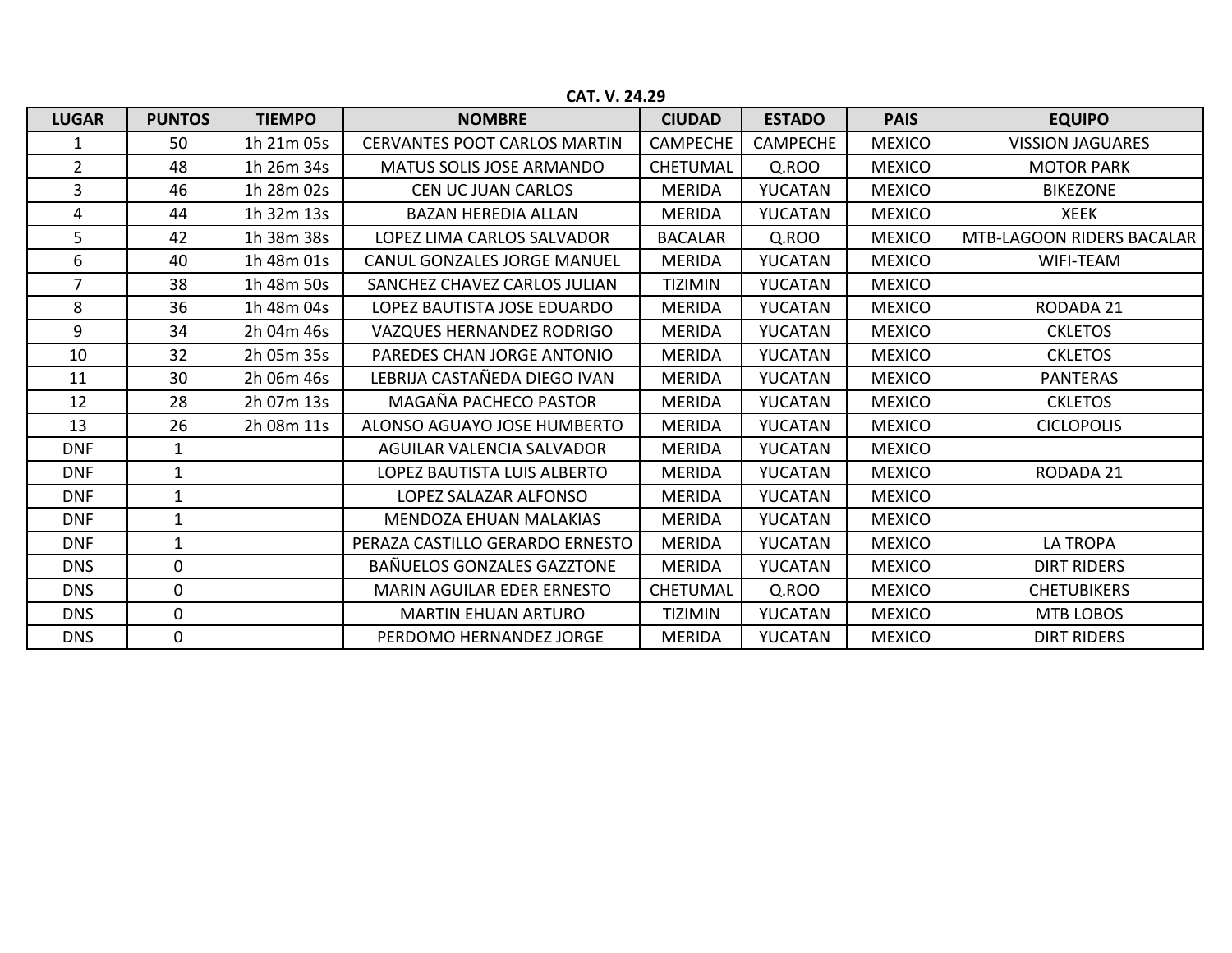| <b>LUGAR</b>   | <b>PUNTOS</b> | <b>TIEMPO</b> | <b>NOMBRE</b>                       | <b>CIUDAD</b>   | <b>ESTADO</b>   | <b>PAIS</b>   | <b>EQUIPO</b>             |
|----------------|---------------|---------------|-------------------------------------|-----------------|-----------------|---------------|---------------------------|
|                | 50            | 1h 21m 05s    | <b>CERVANTES POOT CARLOS MARTIN</b> | <b>CAMPECHE</b> | <b>CAMPECHE</b> | <b>MEXICO</b> | <b>VISSION JAGUARES</b>   |
| $\overline{2}$ | 48            | 1h 26m 34s    | <b>MATUS SOLIS JOSE ARMANDO</b>     | <b>CHETUMAL</b> | Q.ROO           | <b>MEXICO</b> | <b>MOTOR PARK</b>         |
| 3              | 46            | 1h 28m 02s    | <b>CEN UC JUAN CARLOS</b>           | <b>MERIDA</b>   | YUCATAN         | <b>MEXICO</b> | <b>BIKEZONE</b>           |
| 4              | 44            | 1h 32m 13s    | <b>BAZAN HEREDIA ALLAN</b>          | <b>MERIDA</b>   | YUCATAN         | <b>MEXICO</b> | <b>XEEK</b>               |
| 5              | 42            | 1h 38m 38s    | LOPEZ LIMA CARLOS SALVADOR          | <b>BACALAR</b>  | Q.ROO           | <b>MEXICO</b> | MTB-LAGOON RIDERS BACALAR |
| 6              | 40            | 1h 48m 01s    | <b>CANUL GONZALES JORGE MANUEL</b>  | <b>MERIDA</b>   | YUCATAN         | <b>MEXICO</b> | <b>WIFI-TEAM</b>          |
| $\overline{7}$ | 38            | 1h 48m 50s    | SANCHEZ CHAVEZ CARLOS JULIAN        | <b>TIZIMIN</b>  | YUCATAN         | <b>MEXICO</b> |                           |
| 8              | 36            | 1h 48m 04s    | LOPEZ BAUTISTA JOSE EDUARDO         | <b>MERIDA</b>   | YUCATAN         | <b>MEXICO</b> | RODADA 21                 |
| 9              | 34            | 2h 04m 46s    | VAZQUES HERNANDEZ RODRIGO           | <b>MERIDA</b>   | YUCATAN         | <b>MEXICO</b> | <b>CKLETOS</b>            |
| 10             | 32            | 2h 05m 35s    | PAREDES CHAN JORGE ANTONIO          | <b>MERIDA</b>   | YUCATAN         | <b>MEXICO</b> | <b>CKLETOS</b>            |
| 11             | 30            | 2h 06m 46s    | LEBRIJA CASTAÑEDA DIEGO IVAN        | <b>MERIDA</b>   | YUCATAN         | <b>MEXICO</b> | <b>PANTERAS</b>           |
| 12             | 28            | 2h 07m 13s    | MAGAÑA PACHECO PASTOR               | <b>MERIDA</b>   | YUCATAN         | <b>MEXICO</b> | <b>CKLETOS</b>            |
| 13             | 26            | 2h 08m 11s    | ALONSO AGUAYO JOSE HUMBERTO         | <b>MERIDA</b>   | YUCATAN         | <b>MEXICO</b> | <b>CICLOPOLIS</b>         |
| <b>DNF</b>     | $\mathbf{1}$  |               | AGUILAR VALENCIA SALVADOR           | <b>MERIDA</b>   | YUCATAN         | <b>MEXICO</b> |                           |
| <b>DNF</b>     | $\mathbf{1}$  |               | LOPEZ BAUTISTA LUIS ALBERTO         | <b>MERIDA</b>   | YUCATAN         | <b>MEXICO</b> | <b>RODADA 21</b>          |
| <b>DNF</b>     | $\mathbf{1}$  |               | LOPEZ SALAZAR ALFONSO               | <b>MERIDA</b>   | YUCATAN         | <b>MEXICO</b> |                           |
| <b>DNF</b>     | 1             |               | <b>MENDOZA EHUAN MALAKIAS</b>       | <b>MERIDA</b>   | YUCATAN         | <b>MEXICO</b> |                           |
| <b>DNF</b>     | $\mathbf{1}$  |               | PERAZA CASTILLO GERARDO ERNESTO     | <b>MERIDA</b>   | YUCATAN         | <b>MEXICO</b> | <b>LA TROPA</b>           |
| <b>DNS</b>     | $\mathbf 0$   |               | BAÑUELOS GONZALES GAZZTONE          | <b>MERIDA</b>   | YUCATAN         | <b>MEXICO</b> | <b>DIRT RIDERS</b>        |
| <b>DNS</b>     | $\mathbf{0}$  |               | MARIN AGUILAR EDER ERNESTO          | <b>CHETUMAL</b> | Q.ROO           | <b>MEXICO</b> | <b>CHETUBIKERS</b>        |
| <b>DNS</b>     | $\mathbf 0$   |               | <b>MARTIN EHUAN ARTURO</b>          | <b>TIZIMIN</b>  | YUCATAN         | <b>MEXICO</b> | MTB LOBOS                 |
| <b>DNS</b>     | 0             |               | PERDOMO HERNANDEZ JORGE             | <b>MERIDA</b>   | YUCATAN         | <b>MEXICO</b> | <b>DIRT RIDERS</b>        |

**CAT. V. 24.29**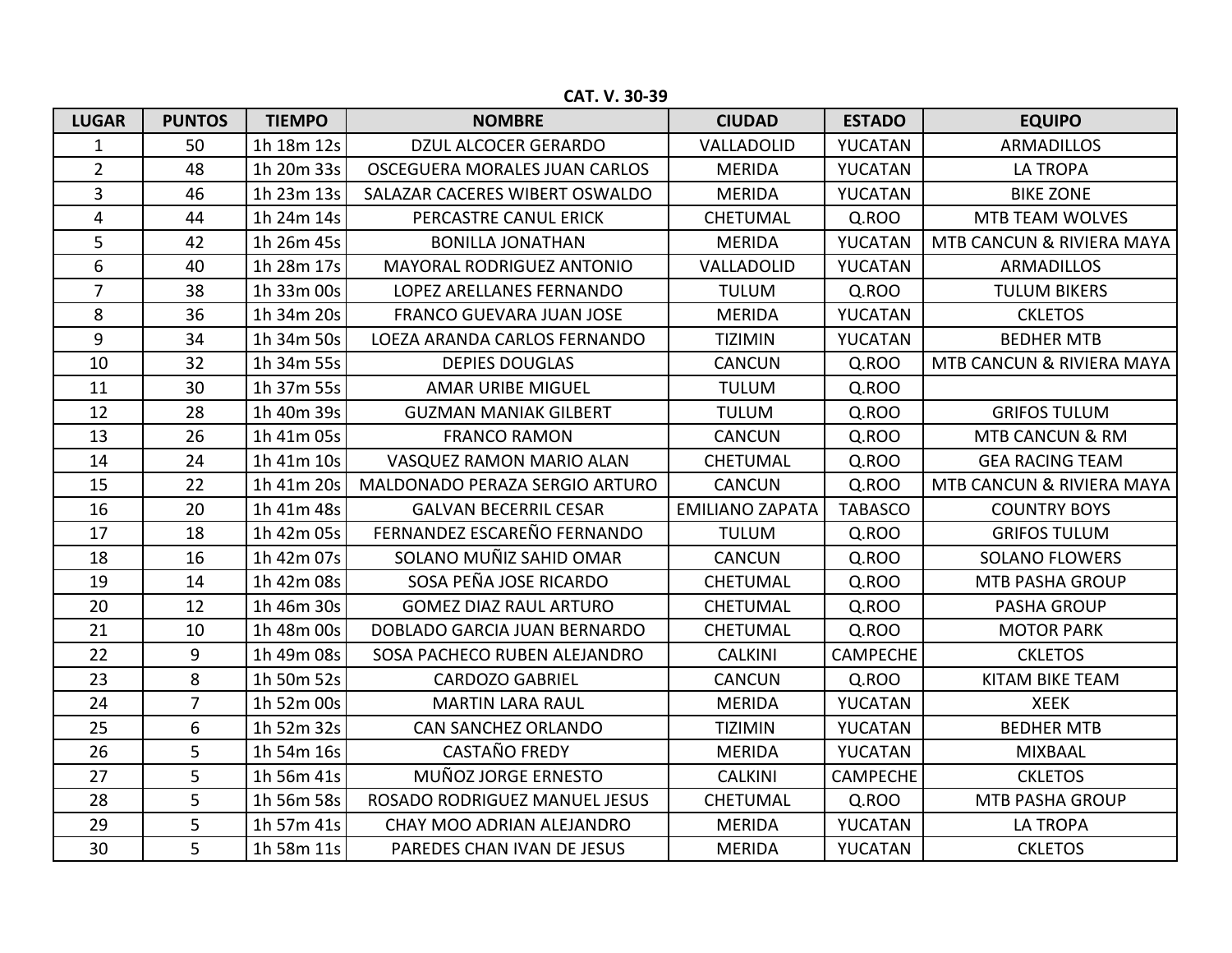**CAT. V. 30-39**

| <b>LUGAR</b>   | <b>PUNTOS</b>  | <b>TIEMPO</b> | <b>NOMBRE</b>                  | <b>CIUDAD</b>          | <b>ESTADO</b>   | <b>EQUIPO</b>              |
|----------------|----------------|---------------|--------------------------------|------------------------|-----------------|----------------------------|
| $\mathbf{1}$   | 50             | 1h 18m 12s    | <b>DZUL ALCOCER GERARDO</b>    | VALLADOLID             | YUCATAN         | <b>ARMADILLOS</b>          |
| $\overline{2}$ | 48             | 1h 20m 33s    | OSCEGUERA MORALES JUAN CARLOS  | <b>MERIDA</b>          | YUCATAN         | <b>LA TROPA</b>            |
| 3              | 46             | 1h 23m 13s    | SALAZAR CACERES WIBERT OSWALDO | <b>MERIDA</b>          | YUCATAN         | <b>BIKE ZONE</b>           |
| 4              | 44             | 1h 24m 14s    | PERCASTRE CANUL ERICK          | <b>CHETUMAL</b>        | Q.ROO           | <b>MTB TEAM WOLVES</b>     |
| 5              | 42             | 1h 26m 45s    | <b>BONILLA JONATHAN</b>        | <b>MERIDA</b>          | YUCATAN         | MTB CANCUN & RIVIERA MAYA  |
| 6              | 40             | 1h 28m 17s    | MAYORAL RODRIGUEZ ANTONIO      | VALLADOLID             | YUCATAN         | <b>ARMADILLOS</b>          |
| $\overline{7}$ | 38             | 1h 33m 00s    | LOPEZ ARELLANES FERNANDO       | <b>TULUM</b>           | Q.ROO           | <b>TULUM BIKERS</b>        |
| 8              | 36             | 1h 34m 20s    | FRANCO GUEVARA JUAN JOSE       | <b>MERIDA</b>          | YUCATAN         | <b>CKLETOS</b>             |
| 9              | 34             | 1h 34m 50s    | LOEZA ARANDA CARLOS FERNANDO   | <b>TIZIMIN</b>         | YUCATAN         | <b>BEDHER MTB</b>          |
| 10             | 32             | 1h 34m 55s    | <b>DEPIES DOUGLAS</b>          | <b>CANCUN</b>          | Q.ROO           | MTB CANCUN & RIVIERA MAYA  |
| 11             | 30             | 1h 37m 55s    | <b>AMAR URIBE MIGUEL</b>       | <b>TULUM</b>           | Q.ROO           |                            |
| 12             | 28             | 1h 40m 39s    | <b>GUZMAN MANIAK GILBERT</b>   | <b>TULUM</b>           | Q.ROO           | <b>GRIFOS TULUM</b>        |
| 13             | 26             | 1h 41m 05s    | <b>FRANCO RAMON</b>            | <b>CANCUN</b>          | Q.ROO           | <b>MTB CANCUN &amp; RM</b> |
| 14             | 24             | 1h 41m 10s    | VASQUEZ RAMON MARIO ALAN       | <b>CHETUMAL</b>        | Q.ROO           | <b>GEA RACING TEAM</b>     |
| 15             | 22             | 1h 41m 20s    | MALDONADO PERAZA SERGIO ARTURO | <b>CANCUN</b>          | Q.ROO           | MTB CANCUN & RIVIERA MAYA  |
| 16             | 20             | 1h 41m 48s    | <b>GALVAN BECERRIL CESAR</b>   | <b>EMILIANO ZAPATA</b> | <b>TABASCO</b>  | <b>COUNTRY BOYS</b>        |
| 17             | 18             | 1h 42m 05s    | FERNANDEZ ESCAREÑO FERNANDO    | <b>TULUM</b>           | Q.ROO           | <b>GRIFOS TULUM</b>        |
| 18             | 16             | 1h 42m 07s    | SOLANO MUÑIZ SAHID OMAR        | <b>CANCUN</b>          | Q.ROO           | <b>SOLANO FLOWERS</b>      |
| 19             | 14             | 1h 42m 08s    | SOSA PEÑA JOSE RICARDO         | <b>CHETUMAL</b>        | Q.ROO           | <b>MTB PASHA GROUP</b>     |
| 20             | 12             | 1h 46m 30s    | <b>GOMEZ DIAZ RAUL ARTURO</b>  | <b>CHETUMAL</b>        | Q.ROO           | <b>PASHA GROUP</b>         |
| 21             | 10             | 1h 48m 00s    | DOBLADO GARCIA JUAN BERNARDO   | <b>CHETUMAL</b>        | Q.ROO           | <b>MOTOR PARK</b>          |
| 22             | 9              | 1h 49m 08s    | SOSA PACHECO RUBEN ALEJANDRO   | <b>CALKINI</b>         | <b>CAMPECHE</b> | <b>CKLETOS</b>             |
| 23             | 8              | 1h 50m 52s    | <b>CARDOZO GABRIEL</b>         | <b>CANCUN</b>          | Q.ROO           | <b>KITAM BIKE TEAM</b>     |
| 24             | $\overline{7}$ | 1h 52m 00s    | <b>MARTIN LARA RAUL</b>        | <b>MERIDA</b>          | YUCATAN         | <b>XEEK</b>                |
| 25             | 6              | 1h 52m 32s    | <b>CAN SANCHEZ ORLANDO</b>     | <b>TIZIMIN</b>         | YUCATAN         | <b>BEDHER MTB</b>          |
| 26             | 5              | 1h 54m 16s    | <b>CASTAÑO FREDY</b>           | <b>MERIDA</b>          | YUCATAN         | <b>MIXBAAL</b>             |
| 27             | 5              | 1h 56m 41s    | MUÑOZ JORGE ERNESTO            | <b>CALKINI</b>         | <b>CAMPECHE</b> | <b>CKLETOS</b>             |
| 28             | 5              | 1h 56m 58s    | ROSADO RODRIGUEZ MANUEL JESUS  | CHETUMAL               | Q.ROO           | MTB PASHA GROUP            |
| 29             | 5              | 1h 57m 41s    | CHAY MOO ADRIAN ALEJANDRO      | <b>MERIDA</b>          | <b>YUCATAN</b>  | <b>LA TROPA</b>            |
| 30             | 5              | 1h 58m 11s    | PAREDES CHAN IVAN DE JESUS     | <b>MERIDA</b>          | YUCATAN         | <b>CKLETOS</b>             |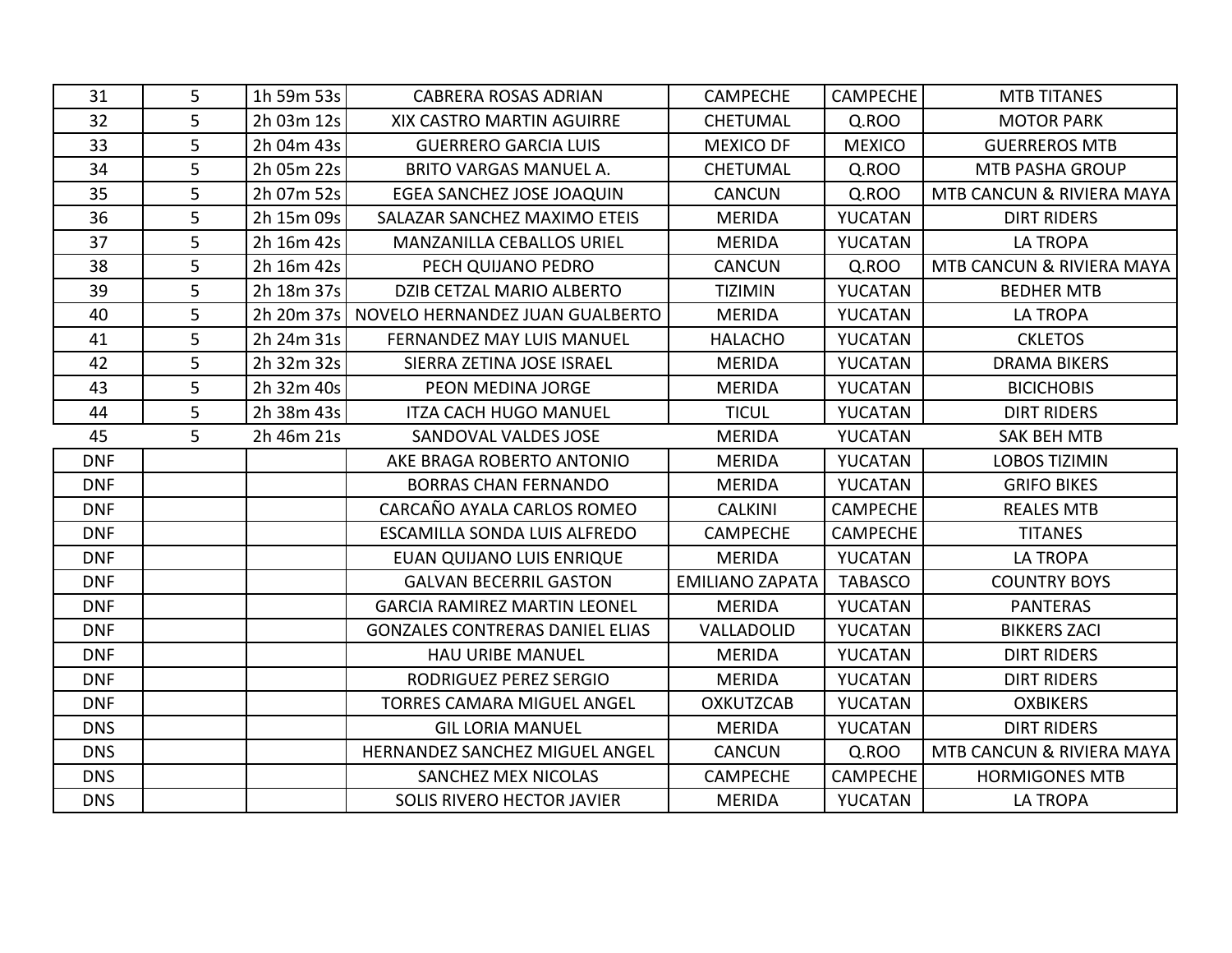| 31         | 5 | 1h 59m 53s | <b>CABRERA ROSAS ADRIAN</b>                  | <b>CAMPECHE</b>        | <b>CAMPECHE</b> | <b>MTB TITANES</b>        |
|------------|---|------------|----------------------------------------------|------------------------|-----------------|---------------------------|
| 32         | 5 | 2h 03m 12s | XIX CASTRO MARTIN AGUIRRE                    | <b>CHETUMAL</b>        | Q.ROO           | <b>MOTOR PARK</b>         |
| 33         | 5 | 2h 04m 43s | <b>GUERRERO GARCIA LUIS</b>                  | <b>MEXICO DF</b>       | <b>MEXICO</b>   | <b>GUERREROS MTB</b>      |
| 34         | 5 | 2h 05m 22s | <b>BRITO VARGAS MANUEL A.</b>                | <b>CHETUMAL</b>        | Q.ROO           | <b>MTB PASHA GROUP</b>    |
| 35         | 5 | 2h 07m 52s | EGEA SANCHEZ JOSE JOAQUIN                    | <b>CANCUN</b>          | Q.ROO           | MTB CANCUN & RIVIERA MAYA |
| 36         | 5 | 2h 15m 09s | SALAZAR SANCHEZ MAXIMO ETEIS                 | <b>MERIDA</b>          | YUCATAN         | <b>DIRT RIDERS</b>        |
| 37         | 5 | 2h 16m 42s | <b>MANZANILLA CEBALLOS URIEL</b>             | <b>MERIDA</b>          | YUCATAN         | <b>LA TROPA</b>           |
| 38         | 5 | 2h 16m 42s | PECH QUIJANO PEDRO                           | <b>CANCUN</b>          | Q.ROO           | MTB CANCUN & RIVIERA MAYA |
| 39         | 5 | 2h 18m 37s | DZIB CETZAL MARIO ALBERTO                    | <b>TIZIMIN</b>         | YUCATAN         | <b>BEDHER MTB</b>         |
| 40         | 5 |            | 2h 20m 37s   NOVELO HERNANDEZ JUAN GUALBERTO | <b>MERIDA</b>          | <b>YUCATAN</b>  | <b>LA TROPA</b>           |
| 41         | 5 | 2h 24m 31s | <b>FERNANDEZ MAY LUIS MANUEL</b>             | <b>HALACHO</b>         | YUCATAN         | <b>CKLETOS</b>            |
| 42         | 5 | 2h 32m 32s | SIERRA ZETINA JOSE ISRAEL                    | <b>MERIDA</b>          | YUCATAN         | <b>DRAMA BIKERS</b>       |
| 43         | 5 | 2h 32m 40s | PEON MEDINA JORGE                            | <b>MERIDA</b>          | YUCATAN         | <b>BICICHOBIS</b>         |
| 44         | 5 | 2h 38m 43s | <b>ITZA CACH HUGO MANUEL</b>                 | <b>TICUL</b>           | YUCATAN         | <b>DIRT RIDERS</b>        |
| 45         | 5 | 2h 46m 21s | SANDOVAL VALDES JOSE                         | <b>MERIDA</b>          | YUCATAN         | <b>SAK BEH MTB</b>        |
| <b>DNF</b> |   |            | AKE BRAGA ROBERTO ANTONIO                    | <b>MERIDA</b>          | YUCATAN         | <b>LOBOS TIZIMIN</b>      |
| <b>DNF</b> |   |            | <b>BORRAS CHAN FERNANDO</b>                  | <b>MERIDA</b>          | YUCATAN         | <b>GRIFO BIKES</b>        |
| <b>DNF</b> |   |            | CARCAÑO AYALA CARLOS ROMEO                   | <b>CALKINI</b>         | <b>CAMPECHE</b> | <b>REALES MTB</b>         |
| <b>DNF</b> |   |            | ESCAMILLA SONDA LUIS ALFREDO                 | <b>CAMPECHE</b>        | <b>CAMPECHE</b> | <b>TITANES</b>            |
| <b>DNF</b> |   |            | EUAN QUIJANO LUIS ENRIQUE                    | <b>MERIDA</b>          | YUCATAN         | <b>LA TROPA</b>           |
| <b>DNF</b> |   |            | <b>GALVAN BECERRIL GASTON</b>                | <b>EMILIANO ZAPATA</b> | <b>TABASCO</b>  | <b>COUNTRY BOYS</b>       |
| <b>DNF</b> |   |            | <b>GARCIA RAMIREZ MARTIN LEONEL</b>          | <b>MERIDA</b>          | YUCATAN         | <b>PANTERAS</b>           |
| <b>DNF</b> |   |            | <b>GONZALES CONTRERAS DANIEL ELIAS</b>       | VALLADOLID             | <b>YUCATAN</b>  | <b>BIKKERS ZACI</b>       |
| <b>DNF</b> |   |            | <b>HAU URIBE MANUEL</b>                      | <b>MERIDA</b>          | YUCATAN         | <b>DIRT RIDERS</b>        |
| <b>DNF</b> |   |            | RODRIGUEZ PEREZ SERGIO                       | <b>MERIDA</b>          | <b>YUCATAN</b>  | <b>DIRT RIDERS</b>        |
| <b>DNF</b> |   |            | <b>TORRES CAMARA MIGUEL ANGEL</b>            | <b>OXKUTZCAB</b>       | YUCATAN         | <b>OXBIKERS</b>           |
| <b>DNS</b> |   |            | <b>GIL LORIA MANUEL</b>                      | <b>MERIDA</b>          | <b>YUCATAN</b>  | <b>DIRT RIDERS</b>        |
| <b>DNS</b> |   |            | HERNANDEZ SANCHEZ MIGUEL ANGEL               | <b>CANCUN</b>          | Q.ROO           | MTB CANCUN & RIVIERA MAYA |
| <b>DNS</b> |   |            | SANCHEZ MEX NICOLAS                          | <b>CAMPECHE</b>        | <b>CAMPECHE</b> | <b>HORMIGONES MTB</b>     |
| <b>DNS</b> |   |            | <b>SOLIS RIVERO HECTOR JAVIER</b>            | <b>MERIDA</b>          | YUCATAN         | <b>LA TROPA</b>           |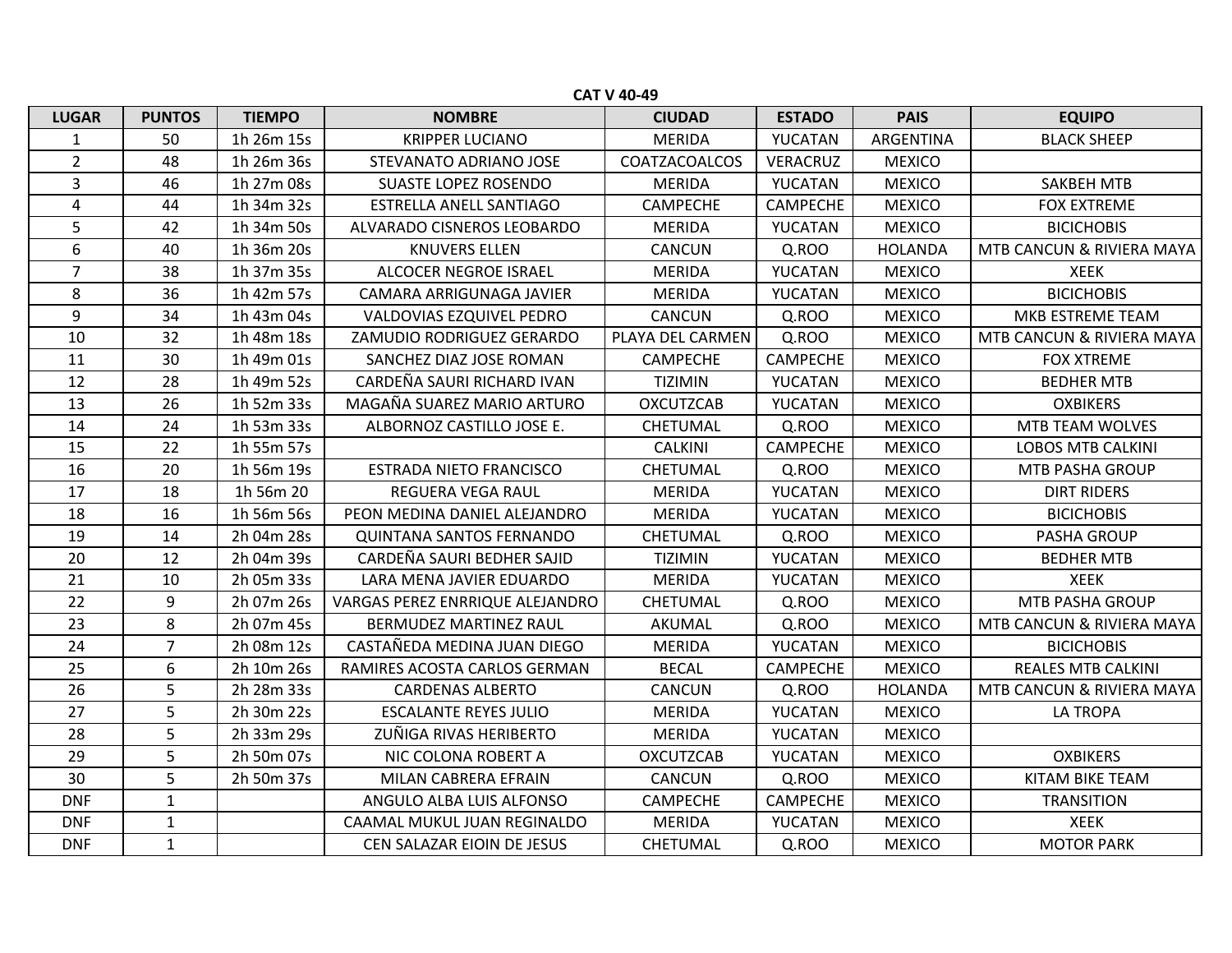|                | <b>CAT V 40-49</b> |               |                                 |                  |                 |                |                           |  |  |  |  |  |
|----------------|--------------------|---------------|---------------------------------|------------------|-----------------|----------------|---------------------------|--|--|--|--|--|
| <b>LUGAR</b>   | <b>PUNTOS</b>      | <b>TIEMPO</b> | <b>NOMBRE</b>                   | <b>CIUDAD</b>    | <b>ESTADO</b>   | <b>PAIS</b>    | <b>EQUIPO</b>             |  |  |  |  |  |
| $\mathbf{1}$   | 50                 | 1h 26m 15s    | <b>KRIPPER LUCIANO</b>          | <b>MERIDA</b>    | YUCATAN         | ARGENTINA      | <b>BLACK SHEEP</b>        |  |  |  |  |  |
| $\overline{2}$ | 48                 | 1h 26m 36s    | STEVANATO ADRIANO JOSE          | COATZACOALCOS    | VERACRUZ        | <b>MEXICO</b>  |                           |  |  |  |  |  |
| 3              | 46                 | 1h 27m 08s    | <b>SUASTE LOPEZ ROSENDO</b>     | <b>MERIDA</b>    | YUCATAN         | <b>MEXICO</b>  | <b>SAKBEH MTB</b>         |  |  |  |  |  |
| 4              | 44                 | 1h 34m 32s    | <b>ESTRELLA ANELL SANTIAGO</b>  | CAMPECHE         | <b>CAMPECHE</b> | <b>MEXICO</b>  | <b>FOX EXTREME</b>        |  |  |  |  |  |
| 5              | 42                 | 1h 34m 50s    | ALVARADO CISNEROS LEOBARDO      | <b>MERIDA</b>    | YUCATAN         | <b>MEXICO</b>  | <b>BICICHOBIS</b>         |  |  |  |  |  |
| 6              | 40                 | 1h 36m 20s    | <b>KNUVERS ELLEN</b>            | CANCUN           | Q.ROO           | <b>HOLANDA</b> | MTB CANCUN & RIVIERA MAYA |  |  |  |  |  |
| $\overline{7}$ | 38                 | 1h 37m 35s    | ALCOCER NEGROE ISRAEL           | <b>MERIDA</b>    | YUCATAN         | <b>MEXICO</b>  | <b>XEEK</b>               |  |  |  |  |  |
| 8              | 36                 | 1h 42m 57s    | CAMARA ARRIGUNAGA JAVIER        | <b>MERIDA</b>    | YUCATAN         | <b>MEXICO</b>  | <b>BICICHOBIS</b>         |  |  |  |  |  |
| 9              | 34                 | 1h 43m 04s    | VALDOVIAS EZQUIVEL PEDRO        | <b>CANCUN</b>    | Q.ROO           | <b>MEXICO</b>  | MKB ESTREME TEAM          |  |  |  |  |  |
| 10             | 32                 | 1h 48m 18s    | ZAMUDIO RODRIGUEZ GERARDO       | PLAYA DEL CARMEN | Q.ROO           | <b>MEXICO</b>  | MTB CANCUN & RIVIERA MAYA |  |  |  |  |  |
| 11             | 30                 | 1h 49m 01s    | SANCHEZ DIAZ JOSE ROMAN         | <b>CAMPECHE</b>  | <b>CAMPECHE</b> | <b>MEXICO</b>  | <b>FOX XTREME</b>         |  |  |  |  |  |
| 12             | 28                 | 1h 49m 52s    | CARDEÑA SAURI RICHARD IVAN      | <b>TIZIMIN</b>   | YUCATAN         | <b>MEXICO</b>  | <b>BEDHER MTB</b>         |  |  |  |  |  |
| 13             | 26                 | 1h 52m 33s    | MAGAÑA SUAREZ MARIO ARTURO      | <b>OXCUTZCAB</b> | YUCATAN         | <b>MEXICO</b>  | <b>OXBIKERS</b>           |  |  |  |  |  |
| 14             | 24                 | 1h 53m 33s    | ALBORNOZ CASTILLO JOSE E.       | CHETUMAL         | Q.ROO           | <b>MEXICO</b>  | MTB TEAM WOLVES           |  |  |  |  |  |
| 15             | 22                 | 1h 55m 57s    |                                 | <b>CALKINI</b>   | <b>CAMPECHE</b> | <b>MEXICO</b>  | <b>LOBOS MTB CALKINI</b>  |  |  |  |  |  |
| 16             | 20                 | 1h 56m 19s    | <b>ESTRADA NIETO FRANCISCO</b>  | CHETUMAL         | Q.ROO           | <b>MEXICO</b>  | <b>MTB PASHA GROUP</b>    |  |  |  |  |  |
| 17             | 18                 | 1h 56m 20     | <b>REGUERA VEGA RAUL</b>        | <b>MERIDA</b>    | YUCATAN         | <b>MEXICO</b>  | <b>DIRT RIDERS</b>        |  |  |  |  |  |
| 18             | 16                 | 1h 56m 56s    | PEON MEDINA DANIEL ALEJANDRO    | <b>MERIDA</b>    | YUCATAN         | <b>MEXICO</b>  | <b>BICICHOBIS</b>         |  |  |  |  |  |
| 19             | 14                 | 2h 04m 28s    | <b>QUINTANA SANTOS FERNANDO</b> | CHETUMAL         | Q.ROO           | <b>MEXICO</b>  | <b>PASHA GROUP</b>        |  |  |  |  |  |
| 20             | 12                 | 2h 04m 39s    | CARDEÑA SAURI BEDHER SAJID      | <b>TIZIMIN</b>   | YUCATAN         | <b>MEXICO</b>  | <b>BEDHER MTB</b>         |  |  |  |  |  |
| 21             | 10                 | 2h 05m 33s    | LARA MENA JAVIER EDUARDO        | <b>MERIDA</b>    | YUCATAN         | <b>MEXICO</b>  | <b>XEEK</b>               |  |  |  |  |  |
| 22             | 9                  | 2h 07m 26s    | VARGAS PEREZ ENRRIQUE ALEJANDRO | CHETUMAL         | Q.ROO           | <b>MEXICO</b>  | <b>MTB PASHA GROUP</b>    |  |  |  |  |  |
| 23             | 8                  | 2h 07m 45s    | BERMUDEZ MARTINEZ RAUL          | AKUMAL           | Q.ROO           | <b>MEXICO</b>  | MTB CANCUN & RIVIERA MAYA |  |  |  |  |  |
| 24             | $\overline{7}$     | 2h 08m 12s    | CASTAÑEDA MEDINA JUAN DIEGO     | <b>MERIDA</b>    | YUCATAN         | <b>MEXICO</b>  | <b>BICICHOBIS</b>         |  |  |  |  |  |
| 25             | 6                  | 2h 10m 26s    | RAMIRES ACOSTA CARLOS GERMAN    | <b>BECAL</b>     | <b>CAMPECHE</b> | <b>MEXICO</b>  | <b>REALES MTB CALKINI</b> |  |  |  |  |  |
| 26             | 5                  | 2h 28m 33s    | <b>CARDENAS ALBERTO</b>         | <b>CANCUN</b>    | Q.ROO           | <b>HOLANDA</b> | MTB CANCUN & RIVIERA MAYA |  |  |  |  |  |
| 27             | 5                  | 2h 30m 22s    | <b>ESCALANTE REYES JULIO</b>    | <b>MERIDA</b>    | YUCATAN         | <b>MEXICO</b>  | LA TROPA                  |  |  |  |  |  |
| 28             | 5                  | 2h 33m 29s    | ZUÑIGA RIVAS HERIBERTO          | <b>MERIDA</b>    | YUCATAN         | <b>MEXICO</b>  |                           |  |  |  |  |  |
| 29             | 5                  | 2h 50m 07s    | NIC COLONA ROBERT A             | <b>OXCUTZCAB</b> | YUCATAN         | <b>MEXICO</b>  | <b>OXBIKERS</b>           |  |  |  |  |  |
| 30             | 5                  | 2h 50m 37s    | MILAN CABRERA EFRAIN            | <b>CANCUN</b>    | Q.ROO           | <b>MEXICO</b>  | KITAM BIKE TEAM           |  |  |  |  |  |
| <b>DNF</b>     | $\mathbf{1}$       |               | ANGULO ALBA LUIS ALFONSO        | <b>CAMPECHE</b>  | <b>CAMPECHE</b> | <b>MEXICO</b>  | <b>TRANSITION</b>         |  |  |  |  |  |
| <b>DNF</b>     | $\mathbf{1}$       |               | CAAMAL MUKUL JUAN REGINALDO     | <b>MERIDA</b>    | YUCATAN         | <b>MEXICO</b>  | <b>XEEK</b>               |  |  |  |  |  |
| <b>DNF</b>     | $\mathbf{1}$       |               | CEN SALAZAR EIOIN DE JESUS      | <b>CHETUMAL</b>  | Q.ROO           | <b>MEXICO</b>  | <b>MOTOR PARK</b>         |  |  |  |  |  |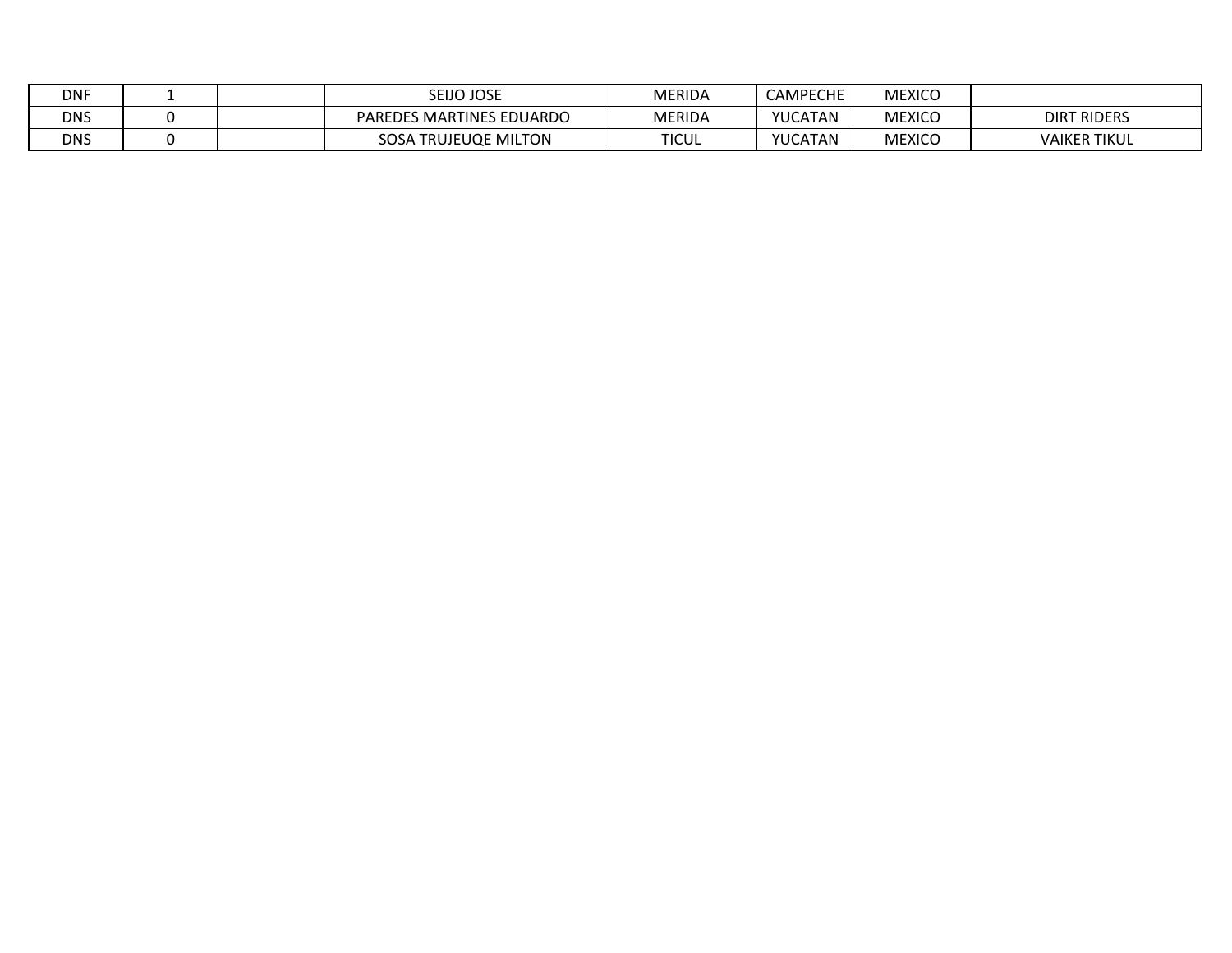| <b>DNF</b> |  | <b>SEIJO JOSE</b>                   | MERIDA        | <b>CAMPECHE</b> | <b>MEXICO</b> |                     |
|------------|--|-------------------------------------|---------------|-----------------|---------------|---------------------|
| <b>DNS</b> |  | SMARTINES EDUARDO<br><b>PAREDES</b> | <b>MERIDA</b> | YUCATAN         | <b>MEXICO</b> | <b>DIRT RIDERS</b>  |
| <b>DNS</b> |  | SOSA<br><b>TRUJEUQE MILTON</b>      | <b>TICUL</b>  | YUCATAN         | <b>MEXICO</b> | <b>VAIKER TIKUL</b> |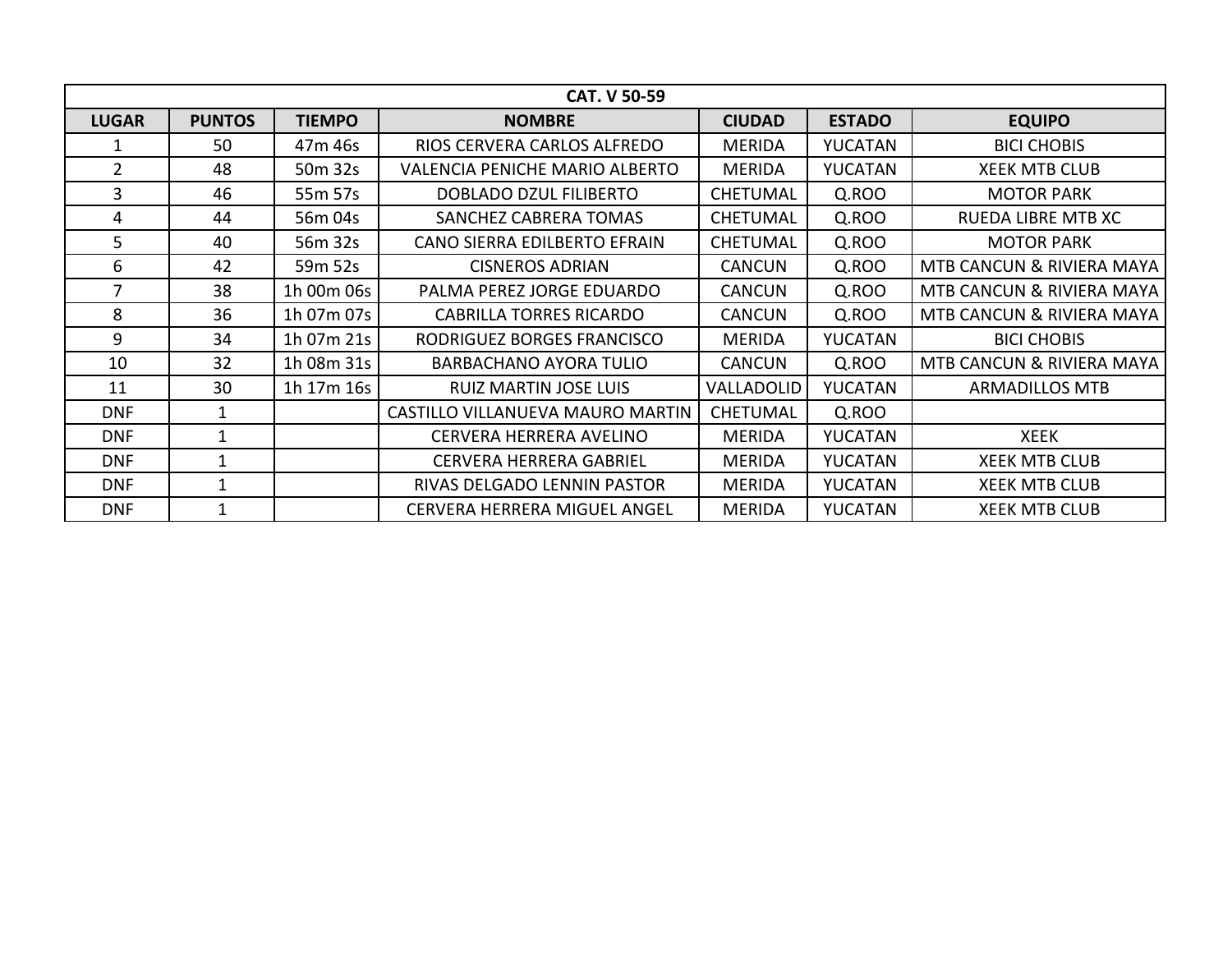|                |               |               | <b>CAT. V 50-59</b>                   |                   |                |                           |
|----------------|---------------|---------------|---------------------------------------|-------------------|----------------|---------------------------|
| <b>LUGAR</b>   | <b>PUNTOS</b> | <b>TIEMPO</b> | <b>NOMBRE</b>                         | <b>CIUDAD</b>     | <b>ESTADO</b>  | <b>EQUIPO</b>             |
|                | 50            | 47m 46s       | RIOS CERVERA CARLOS ALFREDO           | <b>MERIDA</b>     | <b>YUCATAN</b> | <b>BICI CHOBIS</b>        |
| $\overline{2}$ | 48            | 50m 32s       | <b>VALENCIA PENICHE MARIO ALBERTO</b> | <b>MERIDA</b>     | <b>YUCATAN</b> | <b>XEEK MTB CLUB</b>      |
| $\overline{3}$ | 46            | 55m 57s       | <b>DOBLADO DZUL FILIBERTO</b>         | <b>CHETUMAL</b>   | Q.ROO          | <b>MOTOR PARK</b>         |
| 4              | 44            | 56m 04s       | <b>SANCHEZ CABRERA TOMAS</b>          | <b>CHETUMAL</b>   | Q.ROO          | <b>RUEDA LIBRE MTB XC</b> |
| 5 <sup>5</sup> | 40            | 56m 32s       | CANO SIERRA EDILBERTO EFRAIN          | <b>CHETUMAL</b>   | Q.ROO          | <b>MOTOR PARK</b>         |
| 6              | 42            | 59m 52s       | <b>CISNEROS ADRIAN</b>                | <b>CANCUN</b>     | Q.ROO          | MTB CANCUN & RIVIERA MAYA |
| 7              | 38            | 1h 00m 06s    | PALMA PEREZ JORGE EDUARDO             | <b>CANCUN</b>     | Q.ROO          | MTB CANCUN & RIVIERA MAYA |
| 8              | 36            | 1h 07m 07s    | <b>CABRILLA TORRES RICARDO</b>        | <b>CANCUN</b>     | Q.ROO          | MTB CANCUN & RIVIERA MAYA |
| 9              | 34            | 1h 07m 21s    | RODRIGUEZ BORGES FRANCISCO            | <b>MERIDA</b>     | <b>YUCATAN</b> | <b>BICI CHOBIS</b>        |
| 10             | 32            | 1h 08m 31s    | BARBACHANO AYORA TULIO                | <b>CANCUN</b>     | Q.ROO          | MTB CANCUN & RIVIERA MAYA |
| 11             | 30            | 1h 17m 16s    | <b>RUIZ MARTIN JOSE LUIS</b>          | <b>VALLADOLID</b> | <b>YUCATAN</b> | <b>ARMADILLOS MTB</b>     |
| <b>DNF</b>     | 1             |               | CASTILLO VILLANUEVA MAURO MARTIN      | <b>CHETUMAL</b>   | Q.ROO          |                           |
| <b>DNF</b>     | 1             |               | CERVERA HERRERA AVELINO               | <b>MERIDA</b>     | <b>YUCATAN</b> | <b>XEEK</b>               |
| <b>DNF</b>     |               |               | <b>CERVERA HERRERA GABRIEL</b>        | <b>MERIDA</b>     | <b>YUCATAN</b> | <b>XEEK MTB CLUB</b>      |
| <b>DNF</b>     | 1             |               | RIVAS DELGADO LENNIN PASTOR           | <b>MERIDA</b>     | <b>YUCATAN</b> | <b>XEEK MTB CLUB</b>      |
| <b>DNF</b>     | 1             |               | <b>CERVERA HERRERA MIGUEL ANGEL</b>   | <b>MERIDA</b>     | <b>YUCATAN</b> | <b>XEEK MTB CLUB</b>      |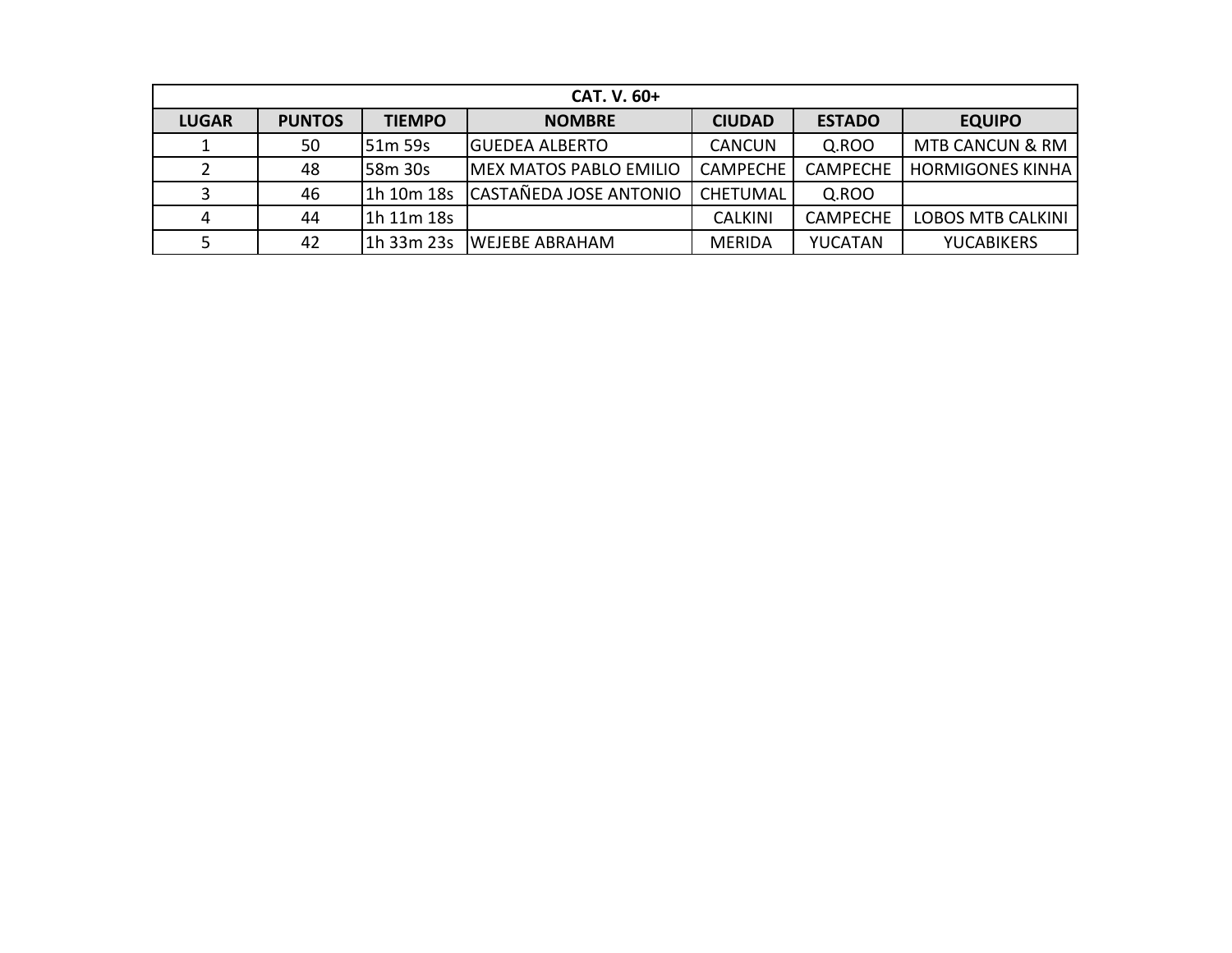|              | CAT. V. 60+   |                |                                |                 |                 |                            |  |  |  |  |  |  |
|--------------|---------------|----------------|--------------------------------|-----------------|-----------------|----------------------------|--|--|--|--|--|--|
| <b>LUGAR</b> | <b>PUNTOS</b> | <b>TIEMPO</b>  | <b>NOMBRE</b>                  | <b>CIUDAD</b>   | <b>ESTADO</b>   | <b>EQUIPO</b>              |  |  |  |  |  |  |
|              | 50            | 51m 59s        | IGUEDEA ALBERTO                | <b>CANCUN</b>   | Q.ROO           | <b>MTB CANCUN &amp; RM</b> |  |  |  |  |  |  |
|              | 48            | <b>58m 30s</b> | <b>IMEX MATOS PABLO EMILIO</b> | <b>CAMPECHE</b> | <b>CAMPECHE</b> | <b>HORMIGONES KINHA</b>    |  |  |  |  |  |  |
|              | 46            | 11h 10m 18s    | CASTAÑEDA JOSE ANTONIO         | <b>CHETUMAL</b> | Q.ROO           |                            |  |  |  |  |  |  |
|              | 44            | $\ln 11m$ 18s  |                                | <b>CALKINI</b>  | <b>CAMPECHE</b> | <b>LOBOS MTB CALKINI</b>   |  |  |  |  |  |  |
|              | 42            |                | 11h 33m 23s IWEJEBE ABRAHAM    | <b>MERIDA</b>   | <b>YUCATAN</b>  | <b>YUCABIKERS</b>          |  |  |  |  |  |  |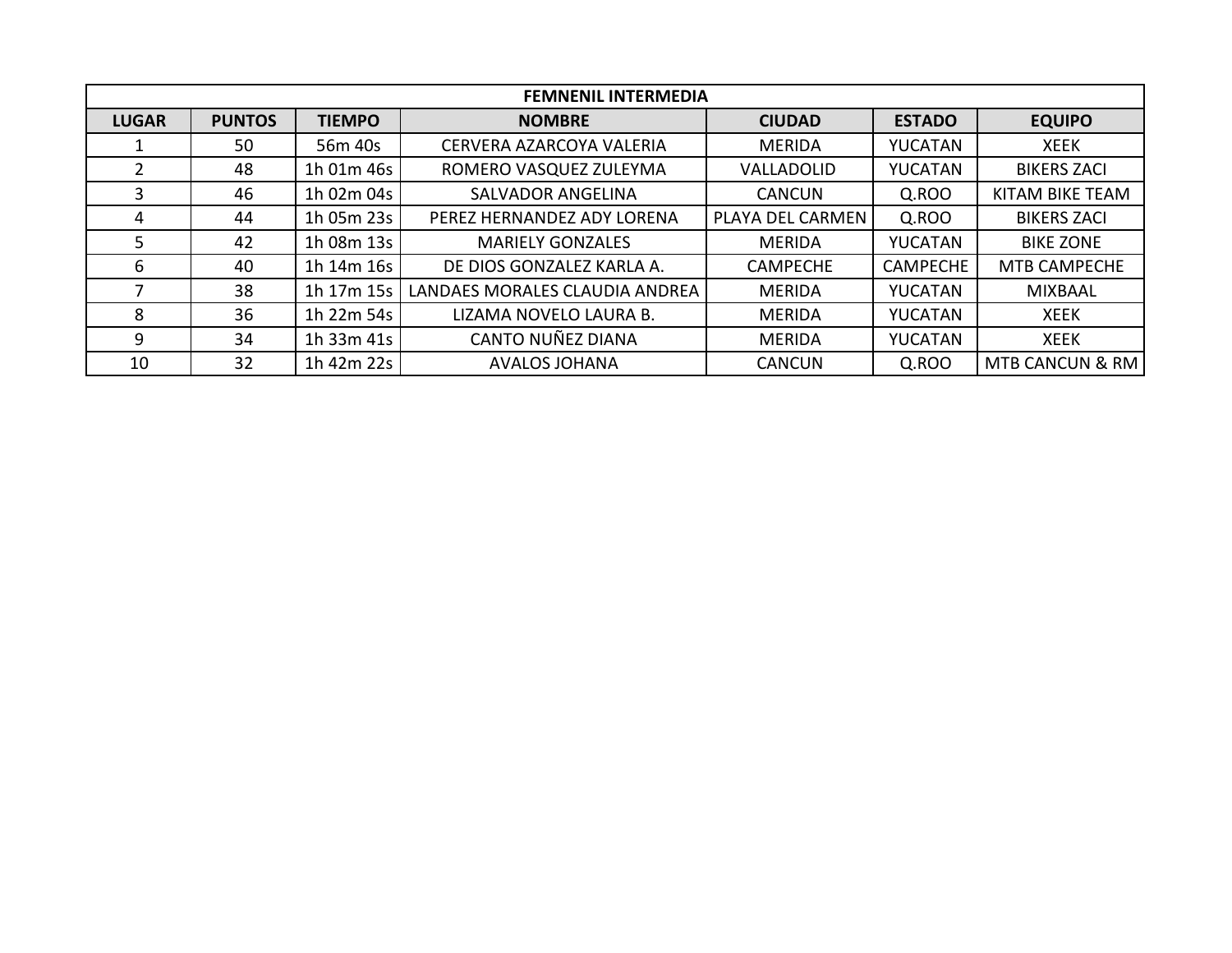|              | <b>FEMNENIL INTERMEDIA</b> |               |                                |                  |                 |                            |  |  |  |  |  |
|--------------|----------------------------|---------------|--------------------------------|------------------|-----------------|----------------------------|--|--|--|--|--|
| <b>LUGAR</b> | <b>PUNTOS</b>              | <b>TIEMPO</b> | <b>NOMBRE</b>                  | <b>CIUDAD</b>    | <b>ESTADO</b>   | <b>EQUIPO</b>              |  |  |  |  |  |
|              | 50                         | 56m 40s       | CERVERA AZARCOYA VALERIA       | <b>MERIDA</b>    | <b>YUCATAN</b>  | <b>XEEK</b>                |  |  |  |  |  |
| 2            | 48                         | 1h 01m 46s    | ROMERO VASQUEZ ZULEYMA         | VALLADOLID       | <b>YUCATAN</b>  | <b>BIKERS ZACI</b>         |  |  |  |  |  |
| 3            | 46                         | 1h 02m 04s    | <b>SALVADOR ANGELINA</b>       | <b>CANCUN</b>    | Q.ROO           | <b>KITAM BIKE TEAM</b>     |  |  |  |  |  |
| 4            | 44                         | 1h 05m 23s    | PEREZ HERNANDEZ ADY LORENA     | PLAYA DEL CARMEN | Q.ROO           | <b>BIKERS ZACI</b>         |  |  |  |  |  |
| 5.           | 42                         | 1h 08m 13s    | <b>MARIELY GONZALES</b>        | <b>MERIDA</b>    | <b>YUCATAN</b>  | <b>BIKE ZONE</b>           |  |  |  |  |  |
| 6            | 40                         | 1h 14m 16s    | DE DIOS GONZALEZ KARLA A.      | <b>CAMPECHE</b>  | <b>CAMPECHE</b> | <b>MTB CAMPECHE</b>        |  |  |  |  |  |
|              | 38                         | 1h 17m 15s    | LANDAES MORALES CLAUDIA ANDREA | <b>MERIDA</b>    | YUCATAN         | <b>MIXBAAL</b>             |  |  |  |  |  |
| 8            | 36                         | 1h 22m 54s    | LIZAMA NOVELO LAURA B.         | <b>MERIDA</b>    | <b>YUCATAN</b>  | <b>XEEK</b>                |  |  |  |  |  |
| 9            | 34                         | 1h 33m 41s    | CANTO NUÑEZ DIANA              | <b>MERIDA</b>    | <b>YUCATAN</b>  | <b>XEEK</b>                |  |  |  |  |  |
| 10           | 32                         | 1h 42m 22s    | <b>AVALOS JOHANA</b>           | <b>CANCUN</b>    | Q.ROO           | <b>MTB CANCUN &amp; RM</b> |  |  |  |  |  |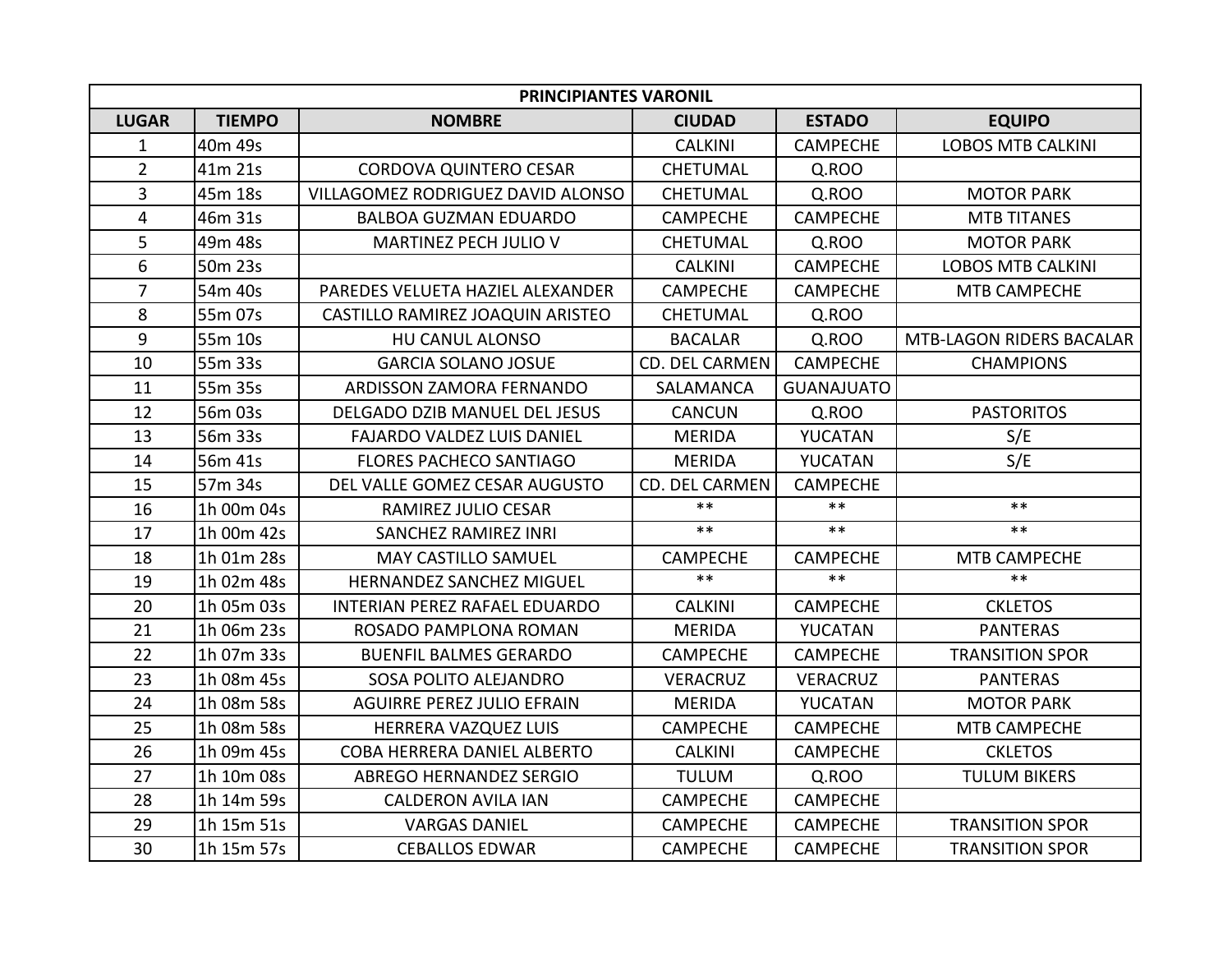| <b>PRINCIPIANTES VARONIL</b> |               |                                   |                       |                   |                                 |  |  |
|------------------------------|---------------|-----------------------------------|-----------------------|-------------------|---------------------------------|--|--|
| <b>LUGAR</b>                 | <b>TIEMPO</b> | <b>NOMBRE</b>                     | <b>CIUDAD</b>         | <b>ESTADO</b>     | <b>EQUIPO</b>                   |  |  |
| $\mathbf 1$                  | 40m 49s       |                                   | <b>CALKINI</b>        | <b>CAMPECHE</b>   | <b>LOBOS MTB CALKINI</b>        |  |  |
| $\overline{2}$               | 41m 21s       | <b>CORDOVA QUINTERO CESAR</b>     | <b>CHETUMAL</b>       | Q.ROO             |                                 |  |  |
| $\overline{3}$               | 45m 18s       | VILLAGOMEZ RODRIGUEZ DAVID ALONSO | <b>CHETUMAL</b>       | Q.ROO             | <b>MOTOR PARK</b>               |  |  |
| $\overline{\mathbf{4}}$      | 46m 31s       | <b>BALBOA GUZMAN EDUARDO</b>      | <b>CAMPECHE</b>       | <b>CAMPECHE</b>   | <b>MTB TITANES</b>              |  |  |
| 5                            | 49m 48s       | MARTINEZ PECH JULIO V             | <b>CHETUMAL</b>       | Q.ROO             | <b>MOTOR PARK</b>               |  |  |
| 6                            | 50m 23s       |                                   | <b>CALKINI</b>        | <b>CAMPECHE</b>   | <b>LOBOS MTB CALKINI</b>        |  |  |
| $\overline{7}$               | 54m 40s       | PAREDES VELUETA HAZIEL ALEXANDER  | <b>CAMPECHE</b>       | <b>CAMPECHE</b>   | <b>MTB CAMPECHE</b>             |  |  |
| 8                            | 55m 07s       | CASTILLO RAMIREZ JOAQUIN ARISTEO  | <b>CHETUMAL</b>       | Q.ROO             |                                 |  |  |
| 9                            | 55m 10s       | HU CANUL ALONSO                   | <b>BACALAR</b>        | Q.ROO             | <b>MTB-LAGON RIDERS BACALAR</b> |  |  |
| 10                           | 55m 33s       | <b>GARCIA SOLANO JOSUE</b>        | <b>CD. DEL CARMEN</b> | <b>CAMPECHE</b>   | <b>CHAMPIONS</b>                |  |  |
| 11                           | 55m 35s       | ARDISSON ZAMORA FERNANDO          | SALAMANCA             | <b>GUANAJUATO</b> |                                 |  |  |
| 12                           | 56m 03s       | DELGADO DZIB MANUEL DEL JESUS     | <b>CANCUN</b>         | Q.ROO             | <b>PASTORITOS</b>               |  |  |
| 13                           | 56m 33s       | <b>FAJARDO VALDEZ LUIS DANIEL</b> | <b>MERIDA</b>         | YUCATAN           | S/E                             |  |  |
| 14                           | 56m 41s       | <b>FLORES PACHECO SANTIAGO</b>    | <b>MERIDA</b>         | YUCATAN           | S/E                             |  |  |
| 15                           | 57m 34s       | DEL VALLE GOMEZ CESAR AUGUSTO     | CD. DEL CARMEN        | <b>CAMPECHE</b>   |                                 |  |  |
| 16                           | 1h 00m 04s    | RAMIREZ JULIO CESAR               | $***$                 | $***$             | $***$                           |  |  |
| 17                           | 1h 00m 42s    | <b>SANCHEZ RAMIREZ INRI</b>       | $***$                 | $***$             | $***$                           |  |  |
| 18                           | 1h 01m 28s    | MAY CASTILLO SAMUEL               | <b>CAMPECHE</b>       | <b>CAMPECHE</b>   | MTB CAMPECHE                    |  |  |
| 19                           | 1h 02m 48s    | <b>HERNANDEZ SANCHEZ MIGUEL</b>   | $**$                  | $***$             | $***$                           |  |  |
| 20                           | 1h 05m 03s    | INTERIAN PEREZ RAFAEL EDUARDO     | <b>CALKINI</b>        | <b>CAMPECHE</b>   | <b>CKLETOS</b>                  |  |  |
| 21                           | 1h 06m 23s    | ROSADO PAMPLONA ROMAN             | <b>MERIDA</b>         | YUCATAN           | <b>PANTERAS</b>                 |  |  |
| 22                           | 1h 07m 33s    | <b>BUENFIL BALMES GERARDO</b>     | <b>CAMPECHE</b>       | <b>CAMPECHE</b>   | <b>TRANSITION SPOR</b>          |  |  |
| 23                           | 1h 08m 45s    | SOSA POLITO ALEJANDRO             | <b>VERACRUZ</b>       | <b>VERACRUZ</b>   | <b>PANTERAS</b>                 |  |  |
| 24                           | 1h 08m 58s    | <b>AGUIRRE PEREZ JULIO EFRAIN</b> | <b>MERIDA</b>         | YUCATAN           | <b>MOTOR PARK</b>               |  |  |
| 25                           | 1h 08m 58s    | HERRERA VAZQUEZ LUIS              | <b>CAMPECHE</b>       | <b>CAMPECHE</b>   | MTB CAMPECHE                    |  |  |
| 26                           | 1h 09m 45s    | COBA HERRERA DANIEL ALBERTO       | <b>CALKINI</b>        | <b>CAMPECHE</b>   | <b>CKLETOS</b>                  |  |  |
| 27                           | 1h 10m 08s    | <b>ABREGO HERNANDEZ SERGIO</b>    | <b>TULUM</b>          | Q.ROO             | <b>TULUM BIKERS</b>             |  |  |
| 28                           | 1h 14m 59s    | <b>CALDERON AVILA IAN</b>         | <b>CAMPECHE</b>       | <b>CAMPECHE</b>   |                                 |  |  |
| 29                           | 1h 15m 51s    | <b>VARGAS DANIEL</b>              | <b>CAMPECHE</b>       | <b>CAMPECHE</b>   | <b>TRANSITION SPOR</b>          |  |  |
| 30                           | 1h 15m 57s    | <b>CEBALLOS EDWAR</b>             | <b>CAMPECHE</b>       | <b>CAMPECHE</b>   | <b>TRANSITION SPOR</b>          |  |  |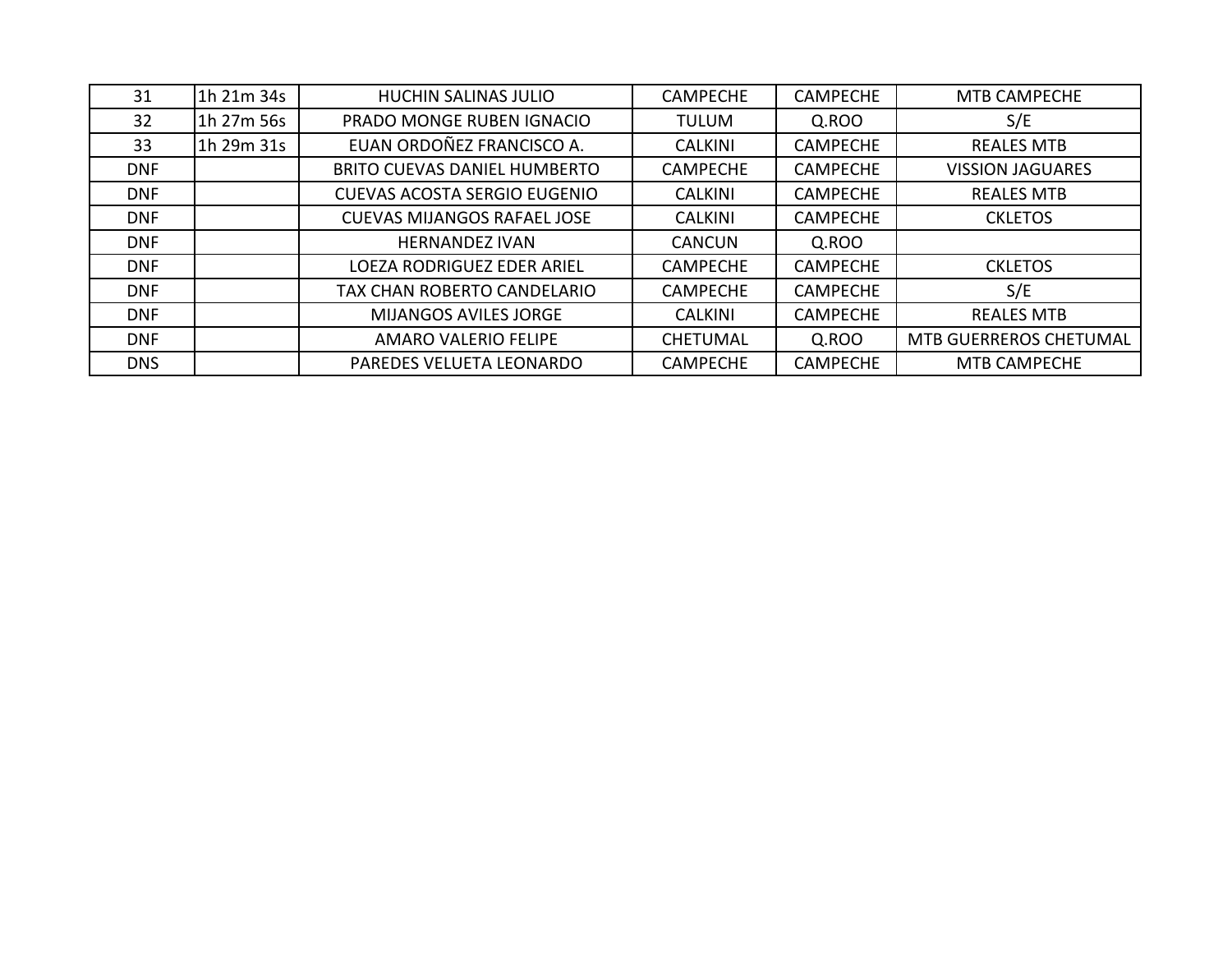| 31         | 1h 21m 34s | <b>HUCHIN SALINAS JULIO</b>         | <b>CAMPECHE</b> | <b>CAMPECHE</b> | <b>MTB CAMPECHE</b>           |
|------------|------------|-------------------------------------|-----------------|-----------------|-------------------------------|
| 32         | 1h 27m 56s | PRADO MONGE RUBEN IGNACIO           | <b>TULUM</b>    | Q.ROO           | S/E                           |
| 33         | 1h 29m 31s | EUAN ORDOÑEZ FRANCISCO A.           | <b>CALKINI</b>  | <b>CAMPECHE</b> | <b>REALES MTB</b>             |
| <b>DNF</b> |            | <b>BRITO CUEVAS DANIEL HUMBERTO</b> | <b>CAMPECHE</b> | <b>CAMPECHE</b> | <b>VISSION JAGUARES</b>       |
| <b>DNF</b> |            | <b>CUEVAS ACOSTA SERGIO EUGENIO</b> | <b>CALKINI</b>  | <b>CAMPECHE</b> | <b>REALES MTB</b>             |
| <b>DNF</b> |            | <b>CUEVAS MIJANGOS RAFAEL JOSE</b>  | <b>CALKINI</b>  | <b>CAMPECHE</b> | <b>CKLETOS</b>                |
| <b>DNF</b> |            | <b>HERNANDEZ IVAN</b>               | <b>CANCUN</b>   | Q.ROO           |                               |
| <b>DNF</b> |            | LOEZA RODRIGUEZ EDER ARIEL          | <b>CAMPECHE</b> | <b>CAMPECHE</b> | <b>CKLETOS</b>                |
| <b>DNF</b> |            | TAX CHAN ROBERTO CANDELARIO         | <b>CAMPECHE</b> | <b>CAMPECHE</b> | S/E                           |
| <b>DNF</b> |            | <b>MIJANGOS AVILES JORGE</b>        | <b>CALKINI</b>  | <b>CAMPECHE</b> | <b>REALES MTB</b>             |
| <b>DNF</b> |            | <b>AMARO VALERIO FELIPE</b>         | <b>CHETUMAL</b> | Q.ROO           | <b>MTB GUERREROS CHETUMAL</b> |
| <b>DNS</b> |            | PAREDES VELUETA LEONARDO            | <b>CAMPECHE</b> | <b>CAMPECHE</b> | <b>MTB CAMPECHE</b>           |